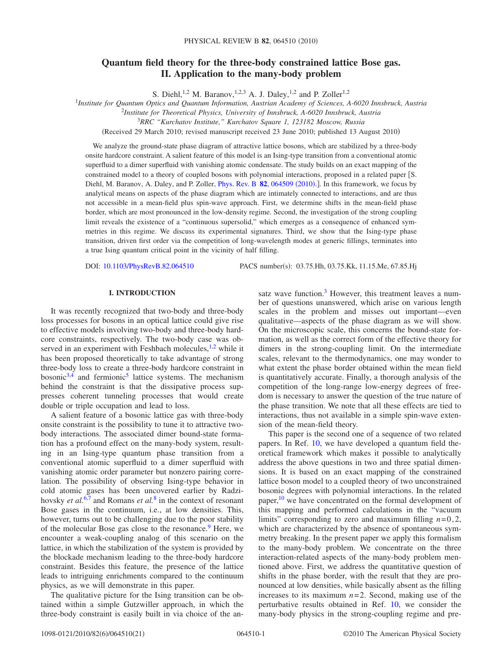# **Quantum field theory for the three-body constrained lattice Bose gas. II. Application to the many-body problem**

S. Diehl,<sup>1,2</sup> M. Baranov,<sup>1,2,3</sup> A. J. Daley,<sup>1,2</sup> and P. Zoller<sup>1,2</sup>

<sup>1</sup>*Institute for Quantum Optics and Quantum Information, Austrian Academy of Sciences, A-6020 Innsbruck, Austria*

2 *Institute for Theoretical Physics, University of Innsbruck, A-6020 Innsbruck, Austria*

<sup>3</sup>*RRC "Kurchatov Institute," Kurchatov Square 1, 123182 Moscow, Russia*

(Received 29 March 2010; revised manuscript received 23 June 2010; published 13 August 2010)

We analyze the ground-state phase diagram of attractive lattice bosons, which are stabilized by a three-body onsite hardcore constraint. A salient feature of this model is an Ising-type transition from a conventional atomic superfluid to a dimer superfluid with vanishing atomic condensate. The study builds on an exact mapping of the constrained model to a theory of coupled bosons with polynomial interactions, proposed in a related paper [S. Diehl, M. Baranov, A. Daley, and P. Zoller, [Phys. Rev. B](http://dx.doi.org/10.1103/PhysRevB.82.064509) **82**, 064509 (2010).]. In this framework, we focus by analytical means on aspects of the phase diagram which are intimately connected to interactions, and are thus not accessible in a mean-field plus spin-wave approach. First, we determine shifts in the mean-field phase border, which are most pronounced in the low-density regime. Second, the investigation of the strong coupling limit reveals the existence of a "continuous supersolid," which emerges as a consequence of enhanced symmetries in this regime. We discuss its experimental signatures. Third, we show that the Ising-type phase transition, driven first order via the competition of long-wavelength modes at generic fillings, terminates into a true Ising quantum critical point in the vicinity of half filling.

DOI: [10.1103/PhysRevB.82.064510](http://dx.doi.org/10.1103/PhysRevB.82.064510)

PACS number(s): 03.75.Hh, 03.75.Kk, 11.15.Me, 67.85.Hj

# **I. INTRODUCTION**

It was recently recognized that two-body and three-body loss processes for bosons in an optical lattice could give rise to effective models involving two-body and three-body hardcore constraints, respectively. The two-body case was ob-served in an experiment with Feshbach molecules,<sup>1[,2](#page-19-1)</sup> while it has been proposed theoretically to take advantage of strong three-body loss to create a three-body hardcore constraint in bosonic<sup>3,[4](#page-19-3)</sup> and fermionic<sup>5</sup> lattice systems. The mechanism behind the constraint is that the dissipative process suppresses coherent tunneling processes that would create double or triple occupation and lead to loss.

A salient feature of a bosonic lattice gas with three-body onsite constraint is the possibility to tune it to attractive twobody interactions. The associated dimer bound-state formation has a profound effect on the many-body system, resulting in an Ising-type quantum phase transition from a conventional atomic superfluid to a dimer superfluid with vanishing atomic order parameter but nonzero pairing correlation. The possibility of observing Ising-type behavior in cold atomic gases has been uncovered earlier by Radzihovsky *et al.*<sup>[6,](#page-19-5)[7](#page-19-6)</sup> and Romans *et al.*<sup>[8](#page-19-7)</sup> in the context of resonant Bose gases in the continuum, i.e., at low densities. This, however, turns out to be challenging due to the poor stability of the molecular Bose gas close to the resonance.<sup>9</sup> Here, we encounter a weak-coupling analog of this scenario on the lattice, in which the stabilization of the system is provided by the blockade mechanism leading to the three-body hardcore constraint. Besides this feature, the presence of the lattice leads to intriguing enrichments compared to the continuum physics, as we will demonstrate in this paper.

The qualitative picture for the Ising transition can be obtained within a simple Gutzwiller approach, in which the three-body constraint is easily built in via choice of the ansatz wave function.<sup>3</sup> However, this treatment leaves a number of questions unanswered, which arise on various length scales in the problem and misses out important—even qualitative—aspects of the phase diagram as we will show. On the microscopic scale, this concerns the bound-state formation, as well as the correct form of the effective theory for dimers in the strong-coupling limit. On the intermediate scales, relevant to the thermodynamics, one may wonder to what extent the phase border obtained within the mean field is quantitatively accurate. Finally, a thorough analysis of the competition of the long-range low-energy degrees of freedom is necessary to answer the question of the true nature of the phase transition. We note that all these effects are tied to interactions, thus not available in a simple spin-wave extension of the mean-field theory.

This paper is the second one of a sequence of two related papers. In Ref. [10,](#page-19-9) we have developed a quantum field theoretical framework which makes it possible to analytically address the above questions in two and three spatial dimensions. It is based on an exact mapping of the constrained lattice boson model to a coupled theory of two unconstrained bosonic degrees with polynomial interactions. In the related paper,<sup>[10](#page-19-9)</sup> we have concentrated on the formal development of this mapping and performed calculations in the "vacuum limits" corresponding to zero and maximum filling *n*=0,2, which are characterized by the absence of spontaneous symmetry breaking. In the present paper we apply this formalism to the many-body problem. We concentrate on the three interaction-related aspects of the many-body problem mentioned above. First, we address the quantitative question of shifts in the phase border, with the result that they are pronounced at low densities, while basically absent as the filling increases to its maximum  $n=2$ . Second, making use of the perturbative results obtained in Ref. [10,](#page-19-9) we consider the many-body physics in the strong-coupling regime and pre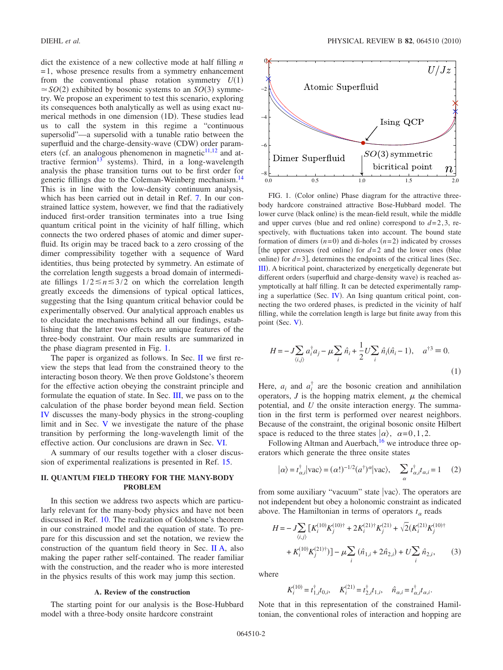dict the existence of a new collective mode at half filling *n*  $= 1$ , whose presence results from a symmetry enhancement from the conventional phase rotation symmetry  $U(1)$  $\approx$  *SO*(2) exhibited by bosonic systems to an *SO*(3) symmetry. We propose an experiment to test this scenario, exploring its consequences both analytically as well as using exact numerical methods in one dimension (1D). These studies lead us to call the system in this regime a "continuous supersolid"—a supersolid with a tunable ratio between the superfluid and the charge-density-wave (CDW) order parameters (cf. an analogous phenomenon in magnetic $11,12$  $11,12$  and attractive fermion<sup>13</sup> systems). Third, in a long-wavelength analysis the phase transition turns out to be first order for generic fillings due to the Coleman-Weinberg mechanism.<sup>14</sup> This is in line with the low-density continuum analysis, which has been carried out in detail in Ref. [7.](#page-19-6) In our constrained lattice system, however, we find that the radiatively induced first-order transition terminates into a true Ising quantum critical point in the vicinity of half filling, which connects the two ordered phases of atomic and dimer superfluid. Its origin may be traced back to a zero crossing of the dimer compressibility together with a sequence of Ward identities, thus being protected by symmetry. An estimate of the correlation length suggests a broad domain of intermediate fillings  $1/2 \le n \le 3/2$  on which the correlation length greatly exceeds the dimensions of typical optical lattices, suggesting that the Ising quantum critical behavior could be experimentally observed. Our analytical approach enables us to elucidate the mechanisms behind all our findings, establishing that the latter two effects are unique features of the three-body constraint. Our main results are summarized in the phase diagram presented in Fig. [1.](#page-1-0)

The paper is organized as follows. In Sec. [II](#page-1-1) we first review the steps that lead from the constrained theory to the interacting boson theory. We then prove Goldstone's theorem for the effective action obeying the constraint principle and formulate the equation of state. In Sec. [III,](#page-5-0) we pass on to the calculation of the phase border beyond mean field. Section [IV](#page-8-0) discusses the many-body physics in the strong-coupling limit and in Sec. [V](#page-14-0) we investigate the nature of the phase transition by performing the long-wavelength limit of the effective action. Our conclusions are drawn in Sec. [VI.](#page-19-14)

A summary of our results together with a closer discussion of experimental realizations is presented in Ref. [15.](#page-19-15)

# <span id="page-1-1"></span>**II. QUANTUM FIELD THEORY FOR THE MANY-BODY PROBLEM**

In this section we address two aspects which are particularly relevant for the many-body physics and have not been discussed in Ref. [10.](#page-19-9) The realization of Goldstone's theorem in our constrained model and the equation of state. To prepare for this discussion and set the notation, we review the construction of the quantum field theory in Sec. [II A,](#page-1-2) also making the paper rather self-contained. The reader familiar with the construction, and the reader who is more interested in the physics results of this work may jump this section.

## **A. Review of the construction**

<span id="page-1-2"></span>The starting point for our analysis is the Bose-Hubbard model with a three-body onsite hardcore constraint

<span id="page-1-0"></span>

FIG. 1. (Color online) Phase diagram for the attractive threebody hardcore constrained attractive Bose-Hubbard model. The lower curve (black online) is the mean-field result, while the middle and upper curves (blue and red online) correspond to  $d=2, 3$ , respectively, with fluctuations taken into account. The bound state formation of dimers  $(n=0)$  and di-holes  $(n=2)$  indicated by crosses [the upper crosses (red online) for  $d=2$  and the lower ones (blue online) for  $d=3$ , determines the endpoints of the critical lines (Sec. [III](#page-5-0)). A bicritical point, characterized by energetically degenerate but different orders (superfluid and charge-density wave) is reached asymptotically at half filling. It can be detected experimentally ramp-ing a superlattice (Sec. [IV](#page-8-0)). An Ising quantum critical point, connecting the two ordered phases, is predicted in the vicinity of half filling, while the correlation length is large but finite away from this point (Sec. [V](#page-14-0)).

$$
H = -J\sum_{\langle i,j\rangle} a_i^{\dagger} a_j - \mu \sum_i \hat{n}_i + \frac{1}{2} U \sum_i \hat{n}_i (\hat{n}_i - 1), \quad a^{\dagger 3} = 0.
$$
\n(1)

Here,  $a_i$  and  $a_i^{\dagger}$  are the bosonic creation and annihilation operators,  $J$  is the hopping matrix element,  $\mu$  the chemical potential, and *U* the onsite interaction energy. The summation in the first term is performed over nearest neighbors. Because of the constraint, the original bosonic onsite Hilbert space is reduced to the three states  $|\alpha\rangle$ ,  $\alpha=0,1,2$ .

Following Altman and Auerbach, $16$  we introduce three operators which generate the three onsite states

$$
|\alpha\rangle = t_{\alpha,i}^{\dagger}|vac\rangle = (\alpha!)^{-1/2} (a^{\dagger})^{\alpha}|vac\rangle, \quad \sum_{\alpha} t_{\alpha,i}^{\dagger} t_{\alpha,i} = 1
$$
 (2)

from some auxiliary "vacuum" state |vac $\rangle$ . The operators are not independent but obey a holonomic constraint as indicated above. The Hamiltonian in terms of operators  $t_{\alpha}$  reads

<span id="page-1-3"></span>
$$
H = -J\sum_{\langle i,j\rangle} \left[ K_i^{(10)} K_j^{(10)\dagger} + 2 K_i^{(21)\dagger} K_j^{(21)} + \sqrt{2} (K_i^{(21)} K_j^{(10)\dagger} + K_i^{(10)} K_j^{(21)\dagger}) \right] - \mu \sum_i \left( \hat{n}_{1,i} + 2 \hat{n}_{2,i} \right) + U \sum_i \hat{n}_{2,i}, \tag{3}
$$

where

$$
K_i^{(10)} = t_{1,i}^{\dagger} t_{0,i}, \quad K_i^{(21)} = t_{2,i}^{\dagger} t_{1,i}, \quad \hat{n}_{\alpha,i} = t_{\alpha,i}^{\dagger} t_{\alpha,i}.
$$

Note that in this representation of the constrained Hamiltonian, the conventional roles of interaction and hopping are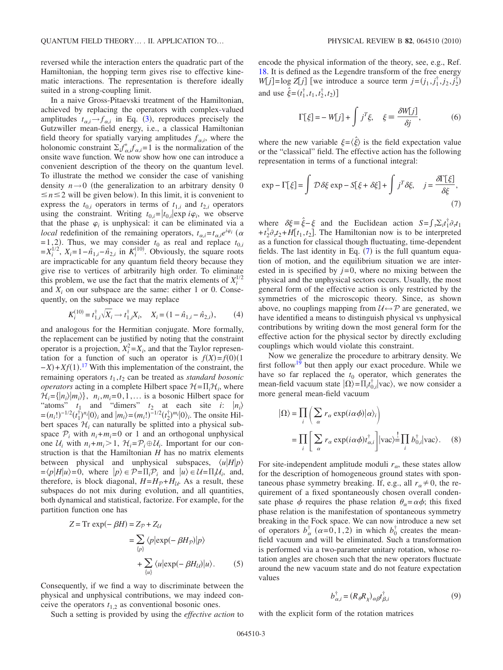reversed while the interaction enters the quadratic part of the Hamiltonian, the hopping term gives rise to effective kinematic interactions. The representation is therefore ideally suited in a strong-coupling limit.

In a naive Gross-Pitaevski treatment of the Hamiltonian, achieved by replacing the operators with complex-valued amplitudes  $t_{\alpha,i} \rightarrow f_{\alpha,i}$  in Eq. ([3](#page-1-3)), reproduces precisely the Gutzwiller mean-field energy, i.e., a classical Hamiltonian field theory for spatially varying amplitudes  $f_{\alpha,i}$ , where the holonomic constraint  $\sum_i f^*_{\alpha,i} f_{\alpha,i} = 1$  is the normalization of the onsite wave function. We now show how one can introduce a convenient description of the theory on the quantum level. To illustrate the method we consider the case of vanishing density  $n \rightarrow 0$  (the generalization to an arbitrary density 0  $\leq n \leq 2$  will be given below). In this limit, it is convenient to express the  $t_{0,i}$  operators in terms of  $t_{1,i}$  and  $t_{2,i}$  operators using the constraint. Writing  $t_{0,i} = |t_{0,i}| \exp i\varphi_i$ , we observe that the phase  $\varphi_i$  is unphysical: it can be eliminated via a *local* redefinition of the remaining operators,  $t_{\alpha,i} = t_{\alpha,i} e^{i\varphi_i}$  ( $\alpha$  $=1,2$ ). Thus, we may consider  $t_0$  as real and replace  $t_{0,i}$  $=X_i^{1/2}$ ,  $X_i = 1 - \hat{n}_{1,i} - \hat{n}_{2,i}$  in  $K_i^{(10)}$ . Obviously, the square roots are impracticable for any quantum field theory because they give rise to vertices of arbitrarily high order. To eliminate this problem, we use the fact that the matrix elements of  $X_i^{1/2}$ and  $X_i$  on our subspace are the same: either 1 or 0. Consequently, on the subspace we may replace

$$
K_i^{(10)} = t_{1,i}^{\dagger} \sqrt{X_i} \rightarrow t_{1,i}^{\dagger} X_i, \quad X_i = (1 - \hat{n}_{1,i} - \hat{n}_{2,i}), \tag{4}
$$

and analogous for the Hermitian conjugate. More formally, the replacement can be justified by noting that the constraint operator is a projection,  $X_i^2 = X_i$ , and that the Taylor representation for a function of such an operator is  $f(X) = f(0)(1)$  $-X$ ) + *Xf*(1).<sup>[17](#page-19-17)</sup> With this implementation of the constraint, the remaining operators  $t_1, t_2$  can be treated as *standard bosonic operators* acting in a complete Hilbert space  $\mathcal{H} = \Pi_i \mathcal{H}_i$ , where  $\mathcal{H}_i = \{ |n_i\rangle | m_i \rangle \}, n_i, m_i = 0, 1, \dots$  is a bosonic Hilbert space for "atoms"  $t_1$  and "dimers"  $t_2$  at each site *i*:  $|n_i\rangle$  $=(n_i!)^{-1/2} (t_1^{\dagger})^{n_i} |0\rangle_i$  and  $|m_i\rangle = (m_i!)^{-1/2} (t_2^{\dagger})^{m_i} |0\rangle_i$ . The onsite Hilbert spaces  $\mathcal{H}_i$  can naturally be splitted into a physical subspace  $P_i$  with  $n_i+m_i=0$  or 1 and an orthogonal unphysical one  $U_i$  with  $n_i + m_i > 1$ ,  $\mathcal{H}_i = \mathcal{P}_i \oplus U_i$ . Important for our construction is that the Hamiltonian *H* has no matrix elements between physical and unphysical subspaces,  $\langle u|H|p\rangle$  $= \langle p|H|u \rangle = 0$ , where  $|p \rangle \in \mathcal{P} = \prod_i \mathcal{P}_i$  and  $|u \rangle \in \mathcal{U} = \prod_i \mathcal{U}_i$ , and, therefore, is block diagonal,  $H = H_p + H_u$ . As a result, these subspaces do not mix during evolution, and all quantities, both dynamical and statistical, factorize. For example, for the partition function one has

$$
Z = \text{Tr} \exp(-\beta H) = Z_{P} + Z_{U}
$$
  
=  $\sum_{\{p\}} \langle p | \exp(-\beta H_{P}) | p \rangle$   
+  $\sum_{\{u\}} \langle u | \exp(-\beta H_{U}) | u \rangle$ . (5)

Consequently, if we find a way to discriminate between the physical and unphysical contributions, we may indeed conceive the operators  $t_{1,2}$  as conventional bosonic ones.

Such a setting is provided by using the *effective action* to

encode the physical information of the theory, see, e.g., Ref. [18.](#page-19-18) It is defined as the Legendre transform of the free energy *W*[*j*]=log *Z*[*j*] [we introduce a source term  $j = (j_1, j_1^{\dagger}, j_2, j_2^{\dagger})$ and use  $\hat{\xi} = (t_1^\dagger, t_1, t_2^\dagger, t_2)$ 

$$
\Gamma[\xi] = -W[j] + \int j^T \xi, \quad \xi \equiv \frac{\delta W[j]}{\delta j}, \tag{6}
$$

where the new variable  $\xi = \langle \hat{\xi} \rangle$  is the field expectation value or the "classical" field. The effective action has the following representation in terms of a functional integral:

<span id="page-2-0"></span>
$$
\exp - \Gamma[\xi] = \int \mathcal{D}\delta\xi \exp - S[\xi + \delta\xi] + \int j^T \delta\xi, \quad j = \frac{\delta\Gamma[\xi]}{\delta\xi},\tag{7}
$$

where  $\delta \xi = \hat{\xi} - \xi$  and the Euclidean action  $S = \int_{\tau} \sum_i t_i^{\dagger} \partial_{\tau} t_i$  $+t_2^{\dagger} \partial_{\tau} t_2 + H[t_1, t_2]$ . The Hamiltonian now is to be interpreted as a function for classical though fluctuating, time-dependent fields. The last identity in Eq.  $(7)$  $(7)$  $(7)$  is the full quantum equation of motion, and the equilibrium situation we are interested in is specified by  $j=0$ , where no mixing between the physical and the unphysical sectors occurs. Usually, the most general form of the effective action is only restricted by the symmetries of the microscopic theory. Since, as shown above, no couplings mapping from  $\mathcal{U} \leftrightarrow \mathcal{P}$  are generated, we have identified a means to distinguish physical vs unphysical contributions by writing down the most general form for the effective action for the physical sector by directly excluding couplings which would violate this constraint.

Now we generalize the procedure to arbitrary density. We first follow<sup>19</sup> but then apply our exact procedure. While we have so far replaced the  $t_0$  operator, which generates the mean-field vacuum state  $|\Omega\rangle = \prod_i t_{0,i}^{\dagger} |\text{vac}\rangle$ , we now consider a more general mean-field vacuum

$$
|\Omega\rangle = \prod_{i} \left( \sum_{\alpha} r_{\alpha} \exp(i\alpha\phi) | \alpha \rangle_{i} \right)
$$
  
= 
$$
\prod_{i} \left[ \sum_{\alpha} r_{\alpha} \exp(i\alpha\phi) t_{\alpha,i}^{\dagger} \right] | \text{vac} \rangle = \prod_{i} b_{0,i}^{\dagger} | \text{vac} \rangle.
$$
 (8)

For site-independent amplitude moduli  $r_{\alpha}$ , these states allow for the description of homogeneous ground states with spontaneous phase symmetry breaking. If, e.g., all  $r_\alpha \neq 0$ , the requirement of a fixed spontaneously chosen overall condensate phase  $\phi$  requires the phase relation  $\theta_{\alpha} = \alpha \phi$ ; this fixed phase relation is the manifestation of spontaneous symmetry breaking in the Fock space. We can now introduce a new set of operators  $b_{\alpha}^{\dagger}$  ( $\alpha = 0,1,2$ ) in which  $b_0^{\dagger}$  creates the meanfield vacuum and will be eliminated. Such a transformation is performed via a two-parameter unitary rotation, whose rotation angles are chosen such that the new operators fluctuate around the new vacuum state and do not feature expectation values

$$
b_{\alpha,i}^{\dagger} = (R_{\theta} R_{\chi})_{\alpha\beta} t_{\beta,i}^{\dagger} \tag{9}
$$

with the explicit form of the rotation matrices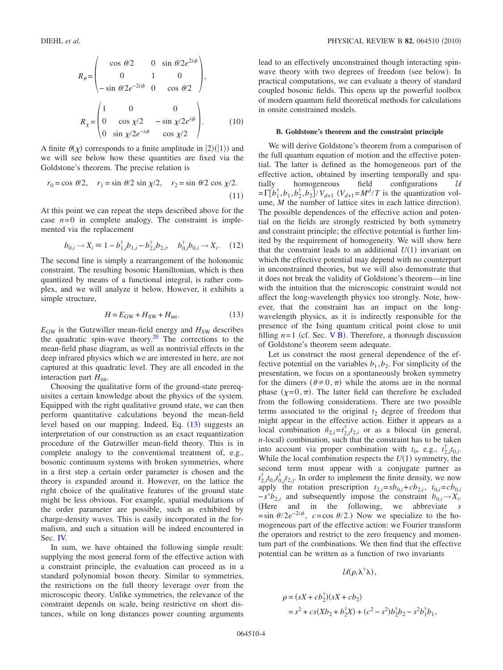$$
R_{\theta} = \begin{pmatrix} \cos \theta/2 & 0 & \sin \theta/2e^{2i\phi} \\ 0 & 1 & 0 \\ -\sin \theta/2e^{-2i\phi} & 0 & \cos \theta/2 \end{pmatrix},
$$

$$
R_{\chi} = \begin{pmatrix} 1 & 0 & 0 \\ 0 & \cos \chi/2 & -\sin \chi/2e^{i\phi} \\ 0 & \sin \chi/2e^{-i\phi} & \cos \chi/2 \end{pmatrix}.
$$
(10)

A finite  $\theta(\chi)$  corresponds to a finite amplitude in  $|2\rangle(|1\rangle)$  and we will see below how these quantities are fixed via the Goldstone's theorem. The precise relation is

$$
r_0 = \cos \theta/2, \quad r_1 = \sin \theta/2 \sin \chi/2, \quad r_2 = \sin \theta/2 \cos \chi/2.
$$
\n(11)

At this point we can repeat the steps described above for the case  $n=0$  in complete analogy. The constraint is implemented via the replacement

$$
b_{0,i} \to X_i \equiv 1 - b_{1,i}^{\dagger} b_{1,i} - b_{2,i}^{\dagger} b_{2,i}, \quad b_{0,i}^{\dagger} b_{0,i} \to X_i. \tag{12}
$$

The second line is simply a rearrangement of the holonomic constraint. The resulting bosonic Hamiltonian, which is then quantized by means of a functional integral, is rather complex, and we will analyze it below. However, it exhibits a simple structure,

$$
H = E_{\rm GW} + H_{\rm SW} + H_{\rm int}.\tag{13}
$$

<span id="page-3-0"></span> $E<sub>GW</sub>$  is the Gutzwiller mean-field energy and  $H<sub>SW</sub>$  describes the quadratic spin-wave theory[.20](#page-19-20) The corrections to the mean-field phase diagram, as well as nontrivial effects in the deep infrared physics which we are interested in here, are not captured at this quadratic level. They are all encoded in the interaction part  $H_{\text{int}}$ .

Choosing the qualitative form of the ground-state prerequisites a certain knowledge about the physics of the system. Equipped with the right qualitative ground state, we can then perform quantitative calculations beyond the mean-field level based on our mapping. Indeed, Eq. ([13](#page-3-0)) suggests an interpretation of our construction as an exact requantization procedure of the Gutzwiller mean-field theory. This is in complete analogy to the conventional treatment of, e.g., bosonic continuum systems with broken symmetries, where in a first step a certain order parameter is chosen and the theory is expanded around it. However, on the lattice the right choice of the qualitative features of the ground state might be less obvious. For example, spatial modulations of the order parameter are possible, such as exhibited by charge-density waves. This is easily incorporated in the formalism, and such a situation will be indeed encountered in Sec. [IV.](#page-8-0)

In sum, we have obtained the following simple result: supplying the most general form of the effective action with a constraint principle, the evaluation can proceed as in a standard polynomial boson theory. Similar to symmetries, the restrictions on the full theory leverage over from the microscopic theory. Unlike symmetries, the relevance of the constraint depends on scale, being restrictive on short distances, while on long distances power counting arguments lead to an effectively unconstrained though interacting spinwave theory with two degrees of freedom (see below). In practical computations, we can evaluate a theory of standard coupled bosonic fields. This opens up the powerful toolbox of modern quantum field theoretical methods for calculations in onsite constrained models.

### **B. Goldstone's theorem and the constraint principle**

We will derive Goldstone's theorem from a comparison of the full quantum equation of motion and the effective potential. The latter is defined as the homogeneous part of the effective action, obtained by inserting temporally and spatially homogeneous field configurations  $\mathcal{U}$  $= \Gamma[b_1^{\dagger}, b_1, b_2^{\dagger}, b_2] / V_{d+1}$   $(V_{d+1} = M^d / T$  is the quantization volume,  $M$  the number of lattice sites in each lattice direction). The possible dependences of the effective action and potential on the fields are strongly restricted by both symmetry and constraint principle; the effective potential is further limited by the requirement of homogeneity. We will show here that the constraint leads to an additional  $U(1)$  invariant on which the effective potential may depend with no counterpart in unconstrained theories, but we will also demonstrate that it does not break the validity of Goldstone's theorem—in line with the intuition that the microscopic constraint would not affect the long-wavelength physics too strongly. Note, however, that the constraint has an impact on the longwavelength physics, as it is indirectly responsible for the presence of the Ising quantum critical point close to unit filling  $n=1$  (cf. Sec. [V B](#page-16-0)). Therefore, a thorough discussion of Goldstone's theorem seem adequate.

Let us construct the most general dependence of the effective potential on the variables  $b_1$ ,  $b_2$ . For simplicity of the presentation, we focus on a spontaneously broken symmetry for the dimers  $(\theta \neq 0, \pi)$  while the atoms are in the normal phase  $(\chi=0,\pi)$ . The latter field can therefore be excluded from the following considerations. There are two possible terms associated to the original  $t<sub>2</sub>$  degree of freedom that might appear in the effective action. Either it appears as a local combination  $\hat{n}_{2,i} = t_{2,i}^{\dagger} t_{2,i}$  or as a bilocal (in general, *n*-local) combination, such that the constraint has to be taken into account via proper combination with  $t_0$ , e.g.,  $t_{2,i}^{\dagger}t_{0,i}$ . While the local combination respects the  $U(1)$  symmetry, the second term must appear with a conjugate partner as  $t_{2,i}^{\dagger}t_{0,i}^{\dagger}t_{2,j}^{\dagger}$ . In order to implement the finite density, we now apply the rotation prescription  $t_{2,i}=sb_{0,i}+cb_{2,i}$ ,  $t_{0,i}=cb_{0,i}$  $-$ *s*<sup>\*</sup>*b*<sub>2,*i*</sub> and subsequently impose the constraint *b*<sub>0,*i*</sub>→*X<sub>i</sub>*. Here and in the following, we abbreviate *s*  $=\sin \theta/2e^{-2i\phi}$ , *c*=cos  $\theta/2$ .) Now we specialize to the homogeneous part of the effective action: we Fourier transform the operators and restrict to the zero frequency and momentum part of the combinations. We then find that the effective potential can be written as a function of two invariants

 $\mathcal{U}(\rho,\lambda^{\dagger}\lambda),$ 

<span id="page-3-1"></span>
$$
\rho = (sX + cb_2^{\dagger})(sX + cb_2)
$$
  
=  $s^2 + cs(Xb_2 + b_2^{\dagger}X) + (c^2 - s^2)b_2^{\dagger}b_2 - s^2b_1^{\dagger}b_1,$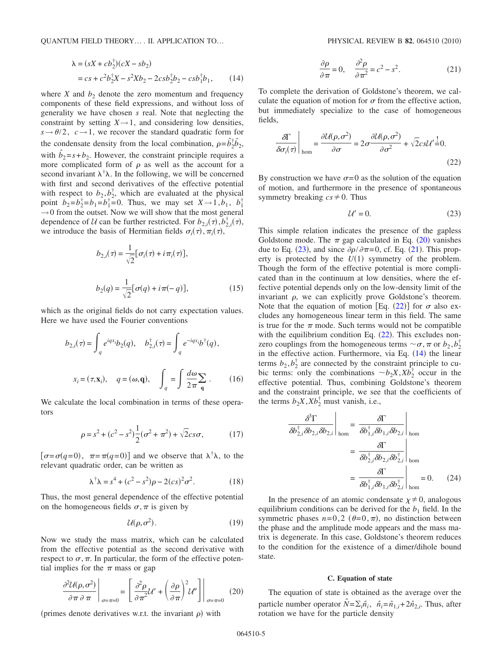QUANTUM FIELD THEORY ... . II. APPLICATION TO...

$$
\lambda = (sX + cb_2^{\dagger})(cX - sb_2)
$$
  
= cs + c<sup>2</sup>b<sub>2</sub><sup>†</sup>X - s<sup>2</sup>Xb<sub>2</sub> - 2csb<sub>2</sub><sup>†</sup>b<sub>2</sub> - csb<sub>1</sub><sup>†</sup>b<sub>1</sub>, (14)

where  $X$  and  $b_2$  denote the zero momentum and frequency components of these field expressions, and without loss of generality we have chosen *s* real. Note that neglecting the constraint by setting  $X \rightarrow 1$ , and considering low densities,  $s \rightarrow \theta/2$ ,  $c \rightarrow 1$ , we recover the standard quadratic form for the condensate density from the local combination,  $\rho = \hat{b}_2^{\dagger} \hat{b}_2$ , with  $\hat{b}_2 = s + b_2$ . However, the constraint principle requires a more complicated form of  $\rho$  as well as the account for a second invariant  $\lambda^{\dagger} \lambda$ . In the following, we will be concerned with first and second derivatives of the effective potential with respect to  $b_2, b_2^{\dagger}$ , which are evaluated at the physical point  $b_2 = b_2^{\dagger} = b_1 = b_1^{\dagger} = 0$ . Thus, we may set  $X \to 1, b_1, b_1^{\dagger}$  $\rightarrow$  0 from the outset. Now we will show that the most general dependence of U can be further restricted. For  $b_{2,i}(\tau)$ ,  $b_{2,i}^{\dagger}(\tau)$ , we introduce the basis of Hermitian fields  $\sigma_i(\tau)$ ,  $\pi_i(\tau)$ ,

<span id="page-4-5"></span>
$$
b_{2,i}(\tau) = \frac{1}{\sqrt{2}} [\sigma_i(\tau) + i \pi_i(\tau)],
$$
  

$$
b_2(q) = \frac{1}{\sqrt{2}} [\sigma(q) + i \pi(-q)],
$$
 (15)

which as the original fields do not carry expectation values. Here we have used the Fourier conventions

$$
b_{2,i}(\tau) = \int_{q} e^{iqx_i} b_2(q), \quad b_{2,i}^{\dagger}(\tau) = \int_{q} e^{-iqx_i} b^{\dagger}(q),
$$

$$
x_i = (\tau, \mathbf{x}_i), \quad q = (\omega, \mathbf{q}), \quad \int_{q} = \int \frac{d\omega}{2\pi} \sum_{\mathbf{q}}.
$$
 (16)

We calculate the local combination in terms of these operators

$$
\rho = s^2 + (c^2 - s^2) \frac{1}{2} (\sigma^2 + \pi^2) + \sqrt{2} c s \sigma,
$$
 (17)

 $[\sigma = \sigma(q=0), \ \pi = \pi(q=0)]$  and we observe that  $\lambda^{\dagger} \lambda$ , to the relevant quadratic order, can be written as

$$
\lambda^{\dagger} \lambda = s^4 + (c^2 - s^2)\rho - 2(c s)^2 \sigma^2.
$$
 (18)

Thus, the most general dependence of the effective potential on the homogeneous fields  $\sigma$ ,  $\pi$  is given by

$$
\mathcal{U}(\rho, \sigma^2). \tag{19}
$$

Now we study the mass matrix, which can be calculated from the effective potential as the second derivative with respect to  $\sigma$ ,  $\pi$ . In particular, the form of the effective potential implies for the  $\pi$  mass or gap

<span id="page-4-0"></span>
$$
\frac{\partial^2 \mathcal{U}(\rho, \sigma^2)}{\partial \pi \partial \pi}\bigg|_{\sigma = \pi = 0} = \left[\frac{\partial^2 \rho}{\partial \pi^2} \mathcal{U}' + \left(\frac{\partial \rho}{\partial \pi}\right)^2 \mathcal{U}''\right]\bigg|_{\sigma = \pi = 0} \tag{20}
$$

(primes denote derivatives w.r.t. the invariant  $\rho$ ) with

$$
\frac{\partial \rho}{\partial \pi} = 0, \quad \frac{\partial^2 \rho}{\partial \pi^2} = c^2 - s^2. \tag{21}
$$

<span id="page-4-2"></span>To complete the derivation of Goldstone's theorem, we calculate the equation of motion for  $\sigma$  from the effective action, but immediately specialize to the case of homogeneous fields,

<span id="page-4-3"></span>
$$
\frac{\delta \Gamma}{\delta \sigma_i(\tau)} \bigg|_{\text{hom}} = \frac{\partial \mathcal{U}(\rho, \sigma^2)}{\partial \sigma} = 2\sigma \frac{\partial \mathcal{U}(\rho, \sigma^2)}{\partial \sigma^2} + \sqrt{2}cs\mathcal{U}' \stackrel{!}{=} 0.
$$
\n(22)

By construction we have  $\sigma = 0$  as the solution of the equation of motion, and furthermore in the presence of spontaneous symmetry breaking  $cs \neq 0$ . Thus

$$
\mathcal{U}' = 0.\tag{23}
$$

<span id="page-4-1"></span>This simple relation indicates the presence of the gapless Goldstone mode. The  $\pi$  gap calculated in Eq. ([20](#page-4-0)) vanishes due to Eq. ([23](#page-4-1)), and since  $\partial \rho / \partial \pi = 0$ , cf. Eq. ([21](#page-4-2)). This property is protected by the  $U(1)$  symmetry of the problem. Though the form of the effective potential is more complicated than in the continuum at low densities, where the effective potential depends only on the low-density limit of the invariant  $\rho$ , we can explicitly prove Goldstone's theorem. Note that the equation of motion [Eq. ([22](#page-4-3))] for  $\sigma$  also excludes any homogeneous linear term in this field. The same is true for the  $\pi$  mode. Such terms would not be compatible with the equilibrium condition Eq.  $(22)$  $(22)$  $(22)$ . This excludes nonzero couplings from the homogeneous terms  $\sim \sigma, \pi$  or  $b_2, b_2^{\dagger}$ in the effective action. Furthermore, via Eq.  $(14)$  $(14)$  $(14)$  the linear terms  $b_2, b_2^{\dagger}$  are connected by the constraint principle to cubic terms: only the combinations  $\sim b_2 X$ ,  $Xb_2^{\dagger}$  occur in the effective potential. Thus, combining Goldstone's theorem and the constraint principle, we see that the coefficients of the terms  $b_2X$ ,  $Xb_2^{\dagger}$  must vanish, i.e.,

<span id="page-4-4"></span>
$$
\frac{\partial^3 \Gamma}{\partial b_{2,i}^{\dagger} \partial b_{2,i} \partial b_{2,i}}\Big|_{\text{hom}} = \frac{\partial \Gamma}{\partial b_{1,i}^{\dagger} \partial b_{1,i} \partial b_{2,i}}\Big|_{\text{hom}}
$$

$$
= \frac{\partial \Gamma}{\partial b_{2,i}^{\dagger} \partial b_{2,i} \partial b_{2,i}^{\dagger}}\Big|_{\text{hom}}
$$

$$
= \frac{\partial \Gamma}{\partial b_{1,i}^{\dagger} \partial b_{1,i} \partial b_{2,i}^{\dagger}}\Big|_{\text{hom}} = 0. \quad (24)
$$

In the presence of an atomic condensate  $\chi \neq 0$ , analogous equilibrium conditions can be derived for the  $b_1$  field. In the symmetric phases  $n=0,2$  ( $\theta=0,\pi$ ), no distinction between the phase and the amplitude mode appears and the mass matrix is degenerate. In this case, Goldstone's theorem reduces to the condition for the existence of a dimer/dihole bound state.

# **C. Equation of state**

The equation of state is obtained as the average over the particle number operator  $\hat{N} = \sum_i \hat{n}_i$ ,  $\hat{n}_i = \hat{n}_{1,i} + 2\hat{n}_{2,i}$ . Thus, after rotation we have for the particle density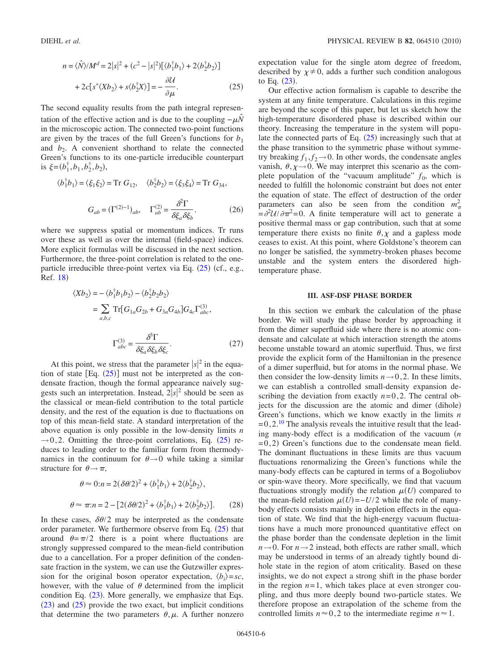<span id="page-5-1"></span>
$$
n = \langle \hat{N} \rangle / M^d = 2|s|^2 + (c^2 - |s|^2) [\langle b_1^{\dagger} b_1 \rangle + 2 \langle b_2^{\dagger} b_2 \rangle] + 2c[s^* \langle Xb_2 \rangle + s \langle b_2^{\dagger} X \rangle] = -\frac{\partial \mathcal{U}}{\partial \mu}.
$$
 (25)

The second equality results from the path integral representation of the effective action and is due to the coupling  $-\mu \hat{N}$ in the microscopic action. The connected two-point functions are given by the traces of the full Green's functions for  $b_1$ and  $b_2$ . A convenient shorthand to relate the connected Green's functions to its one-particle irreducible counterpart is  $\xi = (b_1^{\dagger}, b_1, b_2^{\dagger}, b_2),$ 

$$
\langle b_1^{\dagger} b_1 \rangle = \langle \xi_1 \xi_2 \rangle = \text{Tr } G_{12}, \quad \langle b_2^{\dagger} b_2 \rangle = \langle \xi_3 \xi_4 \rangle = \text{Tr } G_{34},
$$

$$
G_{ab} = (\Gamma^{(2)-1})_{ab}, \quad \Gamma^{(2)}_{ab} = \frac{\delta^2 \Gamma}{\delta \xi_a \delta \xi_b}.
$$
(26)

where we suppress spatial or momentum indices. Tr runs over these as well as over the internal (field-space) indices. More explicit formulas will be discussed in the next section. Furthermore, the three-point correlation is related to the oneparticle irreducible three-point vertex via Eq.  $(25)$  $(25)$  $(25)$  (cf., e.g., Ref. [18](#page-19-18))

$$
\langle Xb_2 \rangle = -\langle b_1^{\dagger} b_1 b_2 \rangle - \langle b_2^{\dagger} b_2 b_2 \rangle
$$
  
= 
$$
\sum_{a,b,c} \text{Tr} [G_{1a} G_{2b} + G_{3a} G_{4b}] G_{4c} \Gamma^{(3)}_{abc},
$$
  

$$
\Gamma^{(3)}_{abc} = \frac{\delta^3 \Gamma}{\delta \xi_a \delta \xi_b \delta \xi_c}.
$$
 (27)

At this point, we stress that the parameter  $|s|^2$  in the equation of state  $[Eq. (25)]$  $[Eq. (25)]$  $[Eq. (25)]$  must not be interpreted as the condensate fraction, though the formal appearance naively suggests such an interpretation. Instead,  $2|s|^2$  should be seen as the classical or mean-field contribution to the total particle density, and the rest of the equation is due to fluctuations on top of this mean-field state. A standard interpretation of the above equation is only possible in the low-density limits *n*  $\rightarrow$  0, 2. Omitting the three-point correlations, Eq. ([25](#page-5-1)) reduces to leading order to the familiar form from thermodynamics in the continuum for  $\theta \rightarrow 0$  while taking a similar structure for  $\theta \rightarrow \pi$ ,

$$
\theta \approx 0:n = 2(\delta\theta/2)^2 + \langle b_1^{\dagger}b_1 \rangle + 2\langle b_2^{\dagger}b_2 \rangle,
$$
  

$$
\theta \approx \pi:n = 2 - [2(\delta\theta/2)^2 + \langle b_1^{\dagger}b_1 \rangle + 2\langle b_2^{\dagger}b_2 \rangle].
$$
 (28)

In these cases,  $\delta\theta/2$  may be interpreted as the condensate order parameter. We furthermore observe from Eq.  $(25)$  $(25)$  $(25)$  that around  $\theta = \pi/2$  there is a point where fluctuations are strongly suppressed compared to the mean-field contribution due to a cancellation. For a proper definition of the condensate fraction in the system, we can use the Gutzwiller expression for the original boson operator expectation,  $\langle b_i \rangle = sc$ , however, with the value of  $\theta$  determined from the implicit condition Eq.  $(23)$  $(23)$  $(23)$ . More generally, we emphasize that Eqs.  $(23)$  $(23)$  $(23)$  and  $(25)$  $(25)$  $(25)$  provide the two exact, but implicit conditions that determine the two parameters  $\theta$ ,  $\mu$ . A further nonzero

expectation value for the single atom degree of freedom, described by  $\chi \neq 0$ , adds a further such condition analogous to Eq.  $(23)$  $(23)$  $(23)$ .

Our effective action formalism is capable to describe the system at any finite temperature. Calculations in this regime are beyond the scope of this paper, but let us sketch how the high-temperature disordered phase is described within our theory. Increasing the temperature in the system will populate the connected parts of Eq.  $(25)$  $(25)$  $(25)$  increasingly such that at the phase transition to the symmetric phase without symmetry breaking  $f_1, f_2 \rightarrow 0$ . In other words, the condensate angles vanish,  $\theta$ ,  $\chi$   $\rightarrow$  0. We may interpret this scenario as the complete population of the "vacuum amplitude"  $f_0$ , which is needed to fulfill the holonomic constraint but does not enter the equation of state. The effect of destruction of the order parameters can also be seen from the condition  $m_{\pi}^2$  $=\frac{\partial^2 U}{\partial \pi^2}$ =0. A finite temperature will act to generate a positive thermal mass or gap contribution, such that at some temperature there exists no finite  $\theta$ ,  $\chi$  and a gapless mode ceases to exist. At this point, where Goldstone's theorem can no longer be satisfied, the symmetry-broken phases become unstable and the system enters the disordered hightemperature phase.

## **III. ASF-DSF PHASE BORDER**

<span id="page-5-0"></span>In this section we embark the calculation of the phase border. We will study the phase border by approaching it from the dimer superfluid side where there is no atomic condensate and calculate at which interaction strength the atoms become unstable toward an atomic superfluid. Thus, we first provide the explicit form of the Hamiltonian in the presence of a dimer superfluid, but for atoms in the normal phase. We then consider the low-density limits  $n \rightarrow 0, 2$ . In these limits, we can establish a controlled small-density expansion describing the deviation from exactly  $n=0,2$ . The central objects for the discussion are the atomic and dimer (dihole) Green's functions, which we know exactly in the limits *n*  $=0,2.^{10}$  $=0,2.^{10}$  $=0,2.^{10}$  The analysis reveals the intuitive result that the leading many-body effect is a modification of the vacuum  $(n \cdot n)$  $=0,2$ ) Green's functions due to the condensate mean field. The dominant fluctuations in these limits are thus vacuum fluctuations renormalizing the Green's functions while the many-body effects can be captured in terms of a Bogoliubov or spin-wave theory. More specifically, we find that vacuum fluctuations strongly modify the relation  $\mu(U)$  compared to the mean-field relation  $\mu(U) = -U/2$  while the role of manybody effects consists mainly in depletion effects in the equation of state. We find that the high-energy vacuum fluctuations have a much more pronounced quantitative effect on the phase border than the condensate depletion in the limit  $n \rightarrow 0$ . For  $n \rightarrow 2$  instead, both effects are rather small, which may be understood in terms of an already tightly bound dihole state in the region of atom criticality. Based on these insights, we do not expect a strong shift in the phase border in the region  $n=1$ , which takes place at even stronger coupling, and thus more deeply bound two-particle states. We therefore propose an extrapolation of the scheme from the controlled limits  $n \approx 0, 2$  to the intermediate regime  $n \approx 1$ .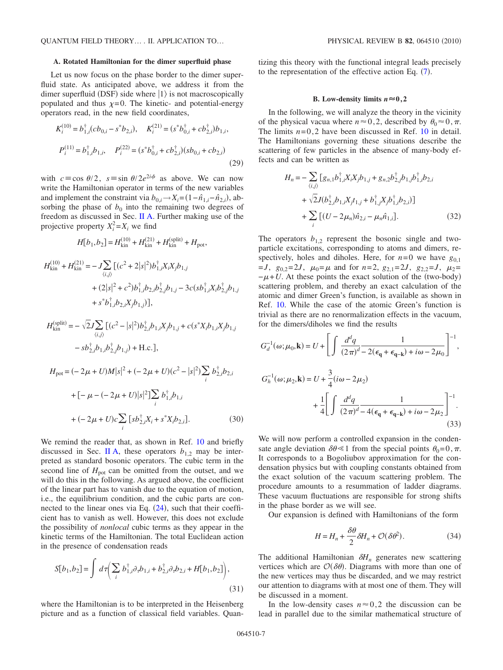# **A. Rotated Hamiltonian for the dimer superfluid phase**

Let us now focus on the phase border to the dimer superfluid state. As anticipated above, we address it from the dimer superfluid (DSF) side where  $|1\rangle$  is not macroscopically populated and thus  $\chi = 0$ . The kinetic- and potential-energy operators read, in the new field coordinates,

$$
K_i^{(10)} = b_{1,i}^{\dagger} (c b_{0,i} - s^* b_{2,i}), \quad K_i^{(21)} = (s^* b_{0,i}^{\dagger} + c b_{2,i}^{\dagger}) b_{1,i},
$$
  

$$
P_i^{(11)} = b_{1,i}^{\dagger} b_{1,i}, \quad P_i^{(22)} = (s^* b_{0,i}^{\dagger} + c b_{2,i}^{\dagger}) (s b_{0,i} + c b_{2,i})
$$
(29)

with  $c \equiv \cos \theta/2$ ,  $s \equiv \sin \theta/2e^{2i\phi}$  as above. We can now write the Hamiltonian operator in terms of the new variables and implement the constraint via  $b_{0,i} \rightarrow X_i = (1 - \hat{n}_{1,i} - \hat{n}_{2,i})$ , absorbing the phase of  $b_0$  into the remaining two degrees of freedom as discussed in Sec. [II A.](#page-1-2) Further making use of the projective property  $X_i^2 = X_i$  we find

$$
H[b_1, b_2] = H_{\text{kin}}^{(10)} + H_{\text{kin}}^{(21)} + H_{\text{kin}}^{(\text{split})} + H_{\text{pot}},
$$

<span id="page-6-1"></span>
$$
H_{\text{kin}}^{(10)} + H_{\text{kin}}^{(21)} = -J \sum_{\langle i,j \rangle} \left[ (c^2 + 2|s|^2) b_{1,i}^\dagger X_i X_j b_{1,j} \right. + (2|s|^2 + c^2) b_{1,i}^\dagger b_{2,i} b_{2,j}^\dagger b_{1,j} - 3c(s b_{1,i}^\dagger X_i b_{2,j}^\dagger b_{1,j} + s^* b_{1,i}^\dagger b_{2,i} X_j b_{1,j} \right],
$$

$$
H_{\text{kin}}^{(\text{split})} = -\sqrt{2}J\sum_{\langle i,j\rangle} \left[ (c^2 - |s|^2) b_{2,i}^{\dagger} b_{1,j} X_j b_{1,j} + c(s^* X_i b_{1,i} X_j b_{1,j} -sb_{2,i}^{\dagger} b_{1,i} b_{2,j}^{\dagger} b_{1,j}) + \text{H.c.} \right],
$$
  
\n
$$
H_{\text{pot}} = (-2\mu + U)M|s|^2 + (-2\mu + U)(c^2 - |s|^2) \sum_i b_{2,i}^{\dagger} b_{2,i}
$$
  
\n
$$
+ [-\mu - (-2\mu + U)|s|^2] \sum_i b_{1,i}^{\dagger} b_{1,i}
$$
  
\n
$$
+ (-2\mu + U)c \sum_i [sb_{2,i}^{\dagger} X_i + s^* X_i b_{2,i}].
$$
 (30)

We remind the reader that, as shown in Ref. [10](#page-19-9) and briefly discussed in Sec. [II A,](#page-1-2) these operators  $b_{1,2}$  may be interpreted as standard bosonic operators. The cubic term in the second line of  $H_{\text{pot}}$  can be omitted from the outset, and we will do this in the following. As argued above, the coefficient of the linear part has to vanish due to the equation of motion, i.e., the equilibrium condition, and the cubic parts are connected to the linear ones via Eq.  $(24)$  $(24)$  $(24)$ , such that their coefficient has to vanish as well. However, this does not exclude the possibility of *nonlocal* cubic terms as they appear in the kinetic terms of the Hamiltonian. The total Euclidean action in the presence of condensation reads

$$
S[b_1, b_2] = \int d\tau \left( \sum_i b_{1,i}^\dagger \partial_\tau b_{1,i} + b_{2,i}^\dagger \partial_\tau b_{2,i} + H[b_1, b_2] \right),\tag{31}
$$

where the Hamiltonian is to be interpreted in the Heisenberg picture and as a function of classical field variables. Quantizing this theory with the functional integral leads precisely to the representation of the effective action Eq.  $(7)$  $(7)$  $(7)$ .

### **B.** Low-density limits  $n \approx 0,2$

In the following, we will analyze the theory in the vicinity of the physical vacua where  $n \approx 0, 2$ , described by  $\theta_0 \approx 0, \pi$ . The limits  $n=0,2$  have been discussed in Ref. [10](#page-19-9) in detail. The Hamiltonians governing these situations describe the scattering of few particles in the absence of many-body effects and can be written as

$$
H_{n} = -\sum_{\langle i,j \rangle} \left[ g_{n,1} b_{1,i}^{\dagger} X_{i} X_{j} b_{1,j} + g_{n,2} b_{2,j}^{\dagger} b_{1,j} b_{1,i}^{\dagger} b_{2,i} \right. \\ \left. + \sqrt{2} J (b_{2,i}^{\dagger} b_{1,i} X_{j} t_{1,j} + b_{1,j}^{\dagger} X_{j} b_{1,i}^{\dagger} b_{2,i}) \right] \\ + \sum_{i} \left[ (U - 2\mu_{n}) \hat{n}_{2,i} - \mu_{n} \hat{n}_{1,i} \right]. \tag{32}
$$

The operators  $b_{12}$  represent the bosonic single and twoparticle excitations, corresponding to atoms and dimers, respectively, holes and diholes. Here, for  $n=0$  we have  $g_{0,1}$  $=$ *J*,  $g_{0,2}$ =2*J*,  $\mu_0$ = $\mu$  and for *n*=2,  $g_{2,1}$ =2*J*,  $g_{2,2}$ =*J*,  $\mu_2$ =  $-\mu + U$ . At these points the exact solution of the (two-body) scattering problem, and thereby an exact calculation of the atomic and dimer Green's function, is available as shown in Ref. [10.](#page-19-9) While the case of the atomic Green's function is trivial as there are no renormalization effects in the vacuum, for the dimers/diholes we find the results

<span id="page-6-0"></span>
$$
G_d^{-1}(\omega; \mu_0, \mathbf{k}) = U + \left[ \int \frac{d^d q}{(2\pi)^d} \frac{1}{-2(\epsilon_{\mathbf{q}} + \epsilon_{\mathbf{q}-\mathbf{k}}) + i\omega - 2\mu_0} \right]^{-1},
$$
  

$$
G_h^{-1}(\omega; \mu_2, \mathbf{k}) = U + \frac{3}{4} (i\omega - 2\mu_2)
$$

$$
+ \frac{1}{4} \left[ \int \frac{d^d q}{(2\pi)^d} \frac{1}{-4(\epsilon_{\mathbf{q}} + \epsilon_{\mathbf{q}-\mathbf{k}}) + i\omega - 2\mu_2} \right]^{-1}.
$$
(33)

We will now perform a controlled expansion in the condensate angle deviation  $\delta\theta \le 1$  from the special points  $\theta_0 = 0, \pi$ . It corresponds to a Bogoliubov approximation for the condensation physics but with coupling constants obtained from the exact solution of the vacuum scattering problem. The procedure amounts to a resummation of ladder diagrams. These vacuum fluctuations are responsible for strong shifts in the phase border as we will see.

Our expansion is defined with Hamiltonians of the form

$$
H = H_n + \frac{\delta \theta}{2} \delta H_n + \mathcal{O}(\delta \theta^2). \tag{34}
$$

The additional Hamiltonian  $\delta H_n$  generates new scattering vertices which are  $O(\delta\theta)$ . Diagrams with more than one of the new vertices may thus be discarded, and we may restrict our attention to diagrams with at most one of them. They will be discussed in a moment.

In the low-density cases  $n \approx 0.2$  the discussion can be lead in parallel due to the similar mathematical structure of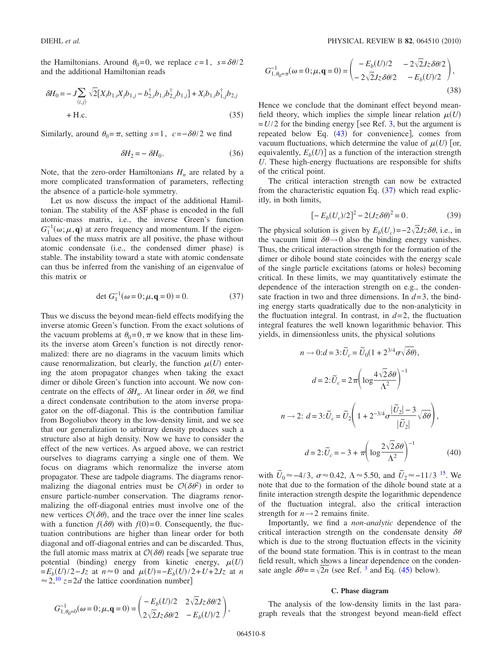the Hamiltonians. Around  $\theta_0 = 0$ , we replace  $c = 1$ ,  $s = \delta\theta/2$ and the additional Hamiltonian reads

$$
\delta H_0 = -J \sum_{\langle i,j \rangle} \sqrt{2} \left[ X_i b_{1,i} X_j b_{1,j} - b_{2,i}^\dagger b_{1,i} b_{2,j}^\dagger b_{1,j} \right] + X_i b_{1,i} b_{1,j}^\dagger b_{2,j} + \text{H.c.}
$$
 (35)

Similarly, around  $\theta_0 = \pi$ , setting *s*=1, *c*=− $\delta\theta$ /2 we find

$$
\delta H_2 = -\delta H_0. \tag{36}
$$

Note, that the zero-order Hamiltonians  $H_n$  are related by a more complicated transformation of parameters, reflecting the absence of a particle-hole symmetry.

Let us now discuss the impact of the additional Hamiltonian. The stability of the ASF phase is encoded in the full atomic-mass matrix, i.e., the inverse Green's function  $G_1^{-1}(\omega;\mu,\mathbf{q})$  at zero frequency and momentum. If the eigenvalues of the mass matrix are all positive, the phase without atomic condensate (i.e., the condensed dimer phase) is stable. The instability toward a state with atomic condensate can thus be inferred from the vanishing of an eigenvalue of this matrix or

$$
\det G_1^{-1}(\omega = 0; \mu, \mathbf{q} = 0) = 0. \tag{37}
$$

<span id="page-7-0"></span>Thus we discuss the beyond mean-field effects modifying the inverse atomic Green's function. From the exact solutions of the vacuum problems at  $\theta_0=0$ ,  $\pi$  we know that in these limits the inverse atom Green's function is not directly renormalized: there are no diagrams in the vacuum limits which cause renormalization, but clearly, the function  $\mu(U)$  entering the atom propagator changes when taking the exact dimer or dihole Green's function into account. We now concentrate on the effects of  $\delta H_n$ . At linear order in  $\delta \theta$ , we find a direct condensate contribution to the atom inverse propagator on the off-diagonal. This is the contribution familiar from Bogoliubov theory in the low-density limit, and we see that our generalization to arbitrary density produces such a structure also at high density. Now we have to consider the effect of the new vertices. As argued above, we can restrict ourselves to diagrams carrying a single one of them. We focus on diagrams which renormalize the inverse atom propagator. These are tadpole diagrams. The diagrams renormalizing the diagonal entries must be  $\mathcal{O}(\delta\theta^2)$  in order to ensure particle-number conservation. The diagrams renormalizing the off-diagonal entries must involve one of the new vertices  $\mathcal{O}(\delta \theta)$ , and the trace over the inner line scales with a function  $f(\delta\theta)$  with  $f(0)=0$ . Consequently, the fluctuation contributions are higher than linear order for both diagonal and off-diagonal entries and can be discarded. Thus, the full atomic mass matrix at  $\mathcal{O}(\delta\theta)$  reads [we separate true potential (binding) energy from kinetic energy,  $\mu(U)$  $=E_b(U)/2 - Jz$  at  $n \approx 0$  and  $\mu(U) = -E_b(U)/2 + U + 2Jz$  at *n*  $\approx$  2,<sup>[10](#page-19-9)</sup> *z*=2*d* the lattice coordination number]

$$
G_{1,\theta_0=0}^{-1}(\omega=0;\mu,\mathbf{q}=0) = \begin{pmatrix} -E_b(U)/2 & 2\sqrt{2}Jz\delta\theta/2\\ 2\sqrt{2}Jz\delta\theta/2 & -E_b(U)/2 \end{pmatrix},
$$

$$
G_{1,\theta_0=\pi}^{-1}(\omega=0;\mu,\mathbf{q}=0) = \begin{pmatrix} -E_b(U)/2 & -2\sqrt{2}Jz\,\delta\theta/2\\ -2\sqrt{2}Jz\,\delta\theta/2 & -E_b(U)/2 \end{pmatrix},\tag{38}
$$

Hence we conclude that the dominant effect beyond meanfield theory, which implies the simple linear relation  $\mu(U)$  $=$  *U*/2 for the binding energy [see Ref. [3,](#page-19-2) but the argument is repeated below Eq. ([43](#page-8-1)) for convenience], comes from vacuum fluctuations, which determine the value of  $\mu(U)$  [or, equivalently,  $E_b(U)$  as a function of the interaction strength *U*. These high-energy fluctuations are responsible for shifts of the critical point.

The critical interaction strength can now be extracted from the characteristic equation Eq.  $(37)$  $(37)$  $(37)$  which read explicitly, in both limits,

$$
[-E_b(U_c)/2]^2 - 2(J_z \delta \theta)^2 = 0.
$$
 (39)

The physical solution is given by  $E_b(U_c) = -2\sqrt{2}Jz\delta\theta$ , i.e., in the vacuum limit  $\delta\theta \rightarrow 0$  also the binding energy vanishes. Thus, the critical interaction strength for the formation of the dimer or dihole bound state coincides with the energy scale of the single particle excitations (atoms or holes) becoming critical. In these limits, we may quantitatively estimate the dependence of the interaction strength on e.g., the condensate fraction in two and three dimensions. In  $d=3$ , the binding energy starts quadratically due to the non-analyticity in the fluctuation integral. In contrast, in  $d=2$ , the fluctuation integral features the well known logarithmic behavior. This yields, in dimensionless units, the physical solutions

$$
n \to 0:d = 3:\tilde{U}_c = \tilde{U}_0(1 + 2^{3/4}\sigma\sqrt{\delta\theta}),
$$

$$
d = 2:\tilde{U}_c = 2\pi \left(\log\frac{4\sqrt{2}\delta\theta}{\Lambda^2}\right)^{-1}
$$

$$
n \to 2;\ d = 3:\tilde{U}_c = \tilde{U}_2\left(1 + 2^{-3/4}\sigma\frac{|\tilde{U}_2| - 3}{|\tilde{U}_2|}\sqrt{\delta\theta}\right),
$$

$$
d = 2:\tilde{U}_c = -3 + \pi \left(\log\frac{2\sqrt{2}\delta\theta}{\Lambda^2}\right)^{-1} \tag{40}
$$

with  $\tilde{U}_0 \approx -4/3$ ,  $\sigma \approx 0.42$ ,  $\Lambda \approx 5.50$ , and  $\tilde{U}_2 \approx -11/3$  <sup>15</sup>. We note that due to the formation of the dihole bound state at a finite interaction strength despite the logarithmic dependence of the fluctuation integral, also the critical interaction strength for  $n \rightarrow 2$  remains finite.

Importantly, we find a *non-analytic* dependence of the critical interaction strength on the condensate density  $\delta\theta$ which is due to the strong fluctuation effects in the vicinity of the bound state formation. This is in contrast to the mean field result, which shows a linear dependence on the condensate angle  $\delta\theta = \sqrt{2n}$  (see Ref. <sup>[3](#page-19-2)</sup> and Eq. ([45](#page-8-2)) below).

### **C. Phase diagram**

<span id="page-7-1"></span>The analysis of the low-density limits in the last paragraph reveals that the strongest beyond mean-field effect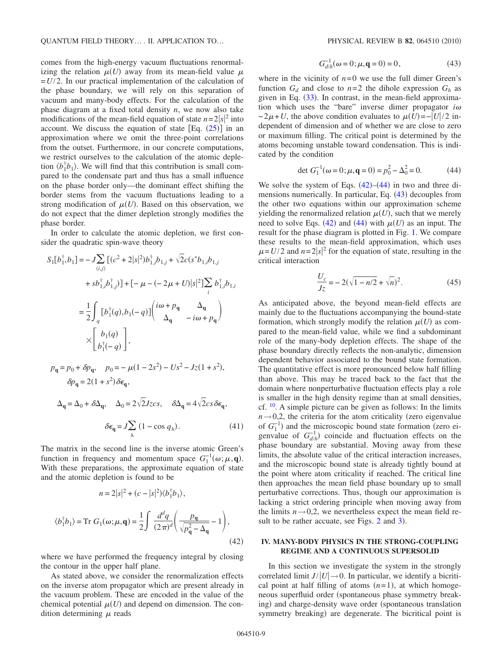comes from the high-energy vacuum fluctuations renormalizing the relation  $\mu(U)$  away from its mean-field value  $\mu$  $=$  *U*/2. In our practical implementation of the calculation of the phase boundary, we will rely on this separation of vacuum and many-body effects. For the calculation of the phase diagram at a fixed total density *n*, we now also take modifications of the mean-field equation of state  $n=2|s|^2$  into account. We discuss the equation of state  $[Eq. (25)]$  $[Eq. (25)]$  $[Eq. (25)]$  in an approximation where we omit the three-point correlations from the outset. Furthermore, in our concrete computations, we restrict ourselves to the calculation of the atomic depletion  $\langle b_1^{\dagger} b_1 \rangle$ . We will find that this contribution is small compared to the condensate part and thus has a small influence on the phase border only—the dominant effect shifting the border stems from the vacuum fluctuations leading to a strong modification of  $\mu(U)$ . Based on this observation, we do not expect that the dimer depletion strongly modifies the phase border.

In order to calculate the atomic depletion, we first consider the quadratic spin-wave theory

$$
S_{1}[b_{1}^{\dagger}, b_{1}] = -J\sum_{\langle i,j\rangle} [(c^{2} + 2|s|^{2})b_{1,i}^{\dagger}b_{1,j} + \sqrt{2}c(s^{*}b_{1,i}b_{1,j} + sb_{1,i}^{\dagger}b_{1,i}^{\dagger})] + [-\mu - (-2\mu + U)|s|^{2}] \sum_{i} b_{1,i}^{\dagger}b_{1,i}.
$$
  
\n
$$
= \frac{1}{2} \int_{q} [b_{1}^{\dagger}(q), b_{1}(-q)] \left( \frac{i\omega + p_{q}}{\Delta_{q}} - \frac{\Delta_{q}}{-i\omega + p_{q}} \right)
$$
  
\n
$$
\times \begin{bmatrix} b_{1}(q) \\ b_{1}^{\dagger}(-q) \end{bmatrix},
$$
  
\n
$$
p_{q} = p_{0} + \delta p_{q}, \quad p_{0} = -\mu(1 - 2s^{2}) - Us^{2} - Jz(1 + s^{2}),
$$
  
\n
$$
\delta p_{q} = 2(1 + s^{2})\delta \epsilon_{q},
$$
  
\n
$$
\Delta_{q} = \Delta_{0} + \delta \Delta_{q}, \quad \Delta_{0} = 2\sqrt{2}Jzcs, \quad \delta \Delta_{q} = 4\sqrt{2}cs\delta \epsilon_{q},
$$
  
\n
$$
\delta \epsilon_{q} = J\sum_{\lambda} (1 - \cos q_{\lambda}).
$$
  
\n(41)

The matrix in the second line is the inverse atomic Green's function in frequency and momentum space  $G_1^{-1}(\omega;\mu,\mathbf{q})$ . With these preparations, the approximate equation of state and the atomic depletion is found to be

<span id="page-8-3"></span>
$$
n = 2|s|^2 + (c - |s|^2)\langle b_1^{\dagger}b_1 \rangle,
$$
  

$$
\langle b_1^{\dagger}b_1 \rangle = \text{Tr } G_1(\omega; \mu, \mathbf{q}) = \frac{1}{2} \int \frac{d^d q}{(2\pi)^d} \left( \frac{p_{\mathbf{q}}}{\sqrt{p_{\mathbf{q}}^2 - \Delta_{\mathbf{q}}}} - 1 \right),
$$
(42)

where we have performed the frequency integral by closing the contour in the upper half plane.

As stated above, we consider the renormalization effects on the inverse atom propagator which are present already in the vacuum problem. These are encoded in the value of the chemical potential  $\mu(U)$  and depend on dimension. The condition determining  $\mu$  reads

$$
G_{d/h}^{-1}(\omega = 0; \mu, \mathbf{q} = 0) = 0, \tag{43}
$$

<span id="page-8-1"></span>where in the vicinity of  $n=0$  we use the full dimer Green's function  $G_d$  and close to  $n=2$  the dihole expression  $G_h$  as given in Eq.  $(33)$  $(33)$  $(33)$ . In contrast, in the mean-field approximation which uses the "bare" inverse dimer propagator *i*  $-2\mu$ +*U*, the above condition evaluates to  $\mu$ (*U*) = - |*U*|/2 independent of dimension and of whether we are close to zero or maximum filling. The critical point is determined by the atoms becoming unstable toward condensation. This is indicated by the condition

$$
\det G_1^{-1}(\omega = 0; \mu, \mathbf{q} = 0) = p_0^2 - \Delta_0^2 = 0. \tag{44}
$$

<span id="page-8-4"></span>We solve the system of Eqs.  $(42)$  $(42)$  $(42)$ – $(44)$  $(44)$  $(44)$  in two and three di-mensions numerically. In particular, Eq. ([43](#page-8-1)) decouples from the other two equations within our approximation scheme yielding the renormalized relation  $\mu(U)$ , such that we merely need to solve Eqs.  $(42)$  $(42)$  $(42)$  and  $(44)$  $(44)$  $(44)$  with  $\mu(U)$  as an input. The result for the phase diagram is plotted in Fig. [1.](#page-1-0) We compare these results to the mean-field approximation, which uses  $\mu = U/2$  and  $n = 2\vert s \vert^2$  for the equation of state, resulting in the critical interaction

$$
\frac{U_c}{Jz} = -2(\sqrt{1 - n/2} + \sqrt{n})^2.
$$
 (45)

<span id="page-8-2"></span>As anticipated above, the beyond mean-field effects are mainly due to the fluctuations accompanying the bound-state formation, which strongly modify the relation  $\mu(U)$  as compared to the mean-field value, while we find a subdominant role of the many-body depletion effects. The shape of the phase boundary directly reflects the non-analytic, dimension dependent behavior associated to the bound state formation. The quantitative effect is more pronounced below half filling than above. This may be traced back to the fact that the domain where nonperturbative fluctuation effects play a role is smaller in the high density regime than at small densities, cf.  $^{10}$ . A simple picture can be given as follows: In the limits  $n \rightarrow 0,2$ , the criteria for the atom criticality (zero eigenvalue of  $G_1^{-1}$ ) and the microscopic bound state formation (zero eigenvalue of  $G_{d/h}^{-1}$  coincide and fluctuation effects on the phase boundary are substantial. Moving away from these limits, the absolute value of the critical interaction increases, and the microscopic bound state is already tightly bound at the point where atom criticality if reached. The critical line then approaches the mean field phase boundary up to small perturbative corrections. Thus, though our approximation is lacking a strict ordering principle when moving away from the limits  $n \rightarrow 0,2$ , we nevertheless expect the mean field re-sult to be rather accuate, see Figs. [2](#page-9-0) and [3](#page-9-1)).

# <span id="page-8-0"></span>**IV. MANY-BODY PHYSICS IN THE STRONG-COUPLING REGIME AND A CONTINUOUS SUPERSOLID**

In this section we investigate the system in the strongly correlated limit  $J/[U] \rightarrow 0$ . In particular, we identify a bicritical point at half filling of atoms  $(n=1)$ , at which homogeneous superfluid order (spontaneous phase symmetry breaking) and charge-density wave order (spontaneous translation symmetry breaking) are degenerate. The bicritical point is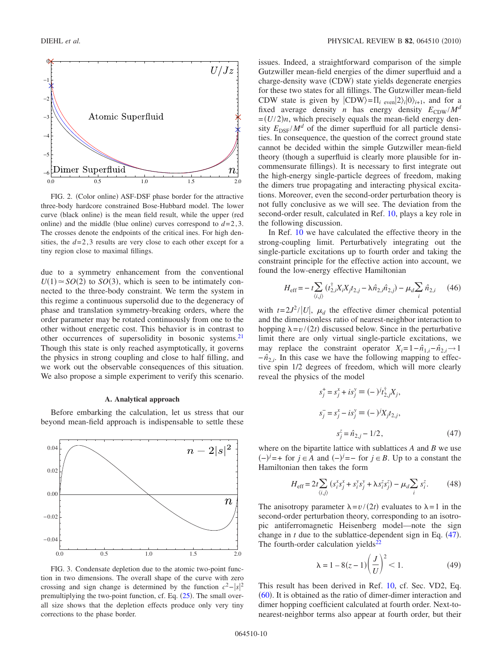<span id="page-9-0"></span>

FIG. 2. (Color online) ASF-DSF phase border for the attractive three-body hardcore constrained Bose-Hubbard model. The lower curve (black online) is the mean field result, while the upper (red online) and the middle (blue online) curves correspond to  $d=2,3$ . The crosses denote the endpoints of the critical ines. For high densities, the  $d=2,3$  results are very close to each other except for a tiny region close to maximal fillings.

due to a symmetry enhancement from the conventional  $U(1) \approx SO(2)$  to  $SO(3)$ , which is seen to be intimately connected to the three-body constraint. We term the system in this regime a continuous supersolid due to the degeneracy of phase and translation symmetry-breaking orders, where the order parameter may be rotated continuously from one to the other without energetic cost. This behavior is in contrast to other occurrences of supersolidity in bosonic systems.<sup>21</sup> Though this state is only reached asymptotically, it governs the physics in strong coupling and close to half filling, and we work out the observable consequences of this situation. We also propose a simple experiment to verify this scenario.

### **A. Analytical approach**

Before embarking the calculation, let us stress that our beyond mean-field approach is indispensable to settle these

<span id="page-9-1"></span>

FIG. 3. Condensate depletion due to the atomic two-point function in two dimensions. The overall shape of the curve with zero crossing and sign change is determined by the function  $c^2 - |s|^2$ premultiplying the two-point function, cf. Eq.  $(25)$  $(25)$  $(25)$ . The small overall size shows that the depletion effects produce only very tiny corrections to the phase border.

issues. Indeed, a straightforward comparison of the simple Gutzwiller mean-field energies of the dimer superfluid and a charge-density wave (CDW) state yields degenerate energies for these two states for all fillings. The Gutzwiller mean-field CDW state is given by  $|CDW\rangle = \prod_{i} e_{ven} |2\rangle_i |0\rangle_{i+1}$ , and for a fixed average density *n* has energy density  $E_{CDW}/M^d$  $=(U/2)n$ , which precisely equals the mean-field energy density  $E_{\text{DSF}}/M^d$  of the dimer superfluid for all particle densities. In consequence, the question of the correct ground state cannot be decided within the simple Gutzwiller mean-field theory (though a superfluid is clearly more plausible for incommensurate fillings). It is necessary to first integrate out the high-energy single-particle degrees of freedom, making the dimers true propagating and interacting physical excitations. Moreover, even the second-order perturbation theory is not fully conclusive as we will see. The deviation from the second-order result, calculated in Ref. [10,](#page-19-9) plays a key role in the following discussion.

In Ref. [10](#page-19-9) we have calculated the effective theory in the strong-coupling limit. Perturbatively integrating out the single-particle excitations up to fourth order and taking the constraint principle for the effective action into account, we found the low-energy effective Hamiltonian

<span id="page-9-4"></span>
$$
H_{\text{eff}} = -t \sum_{\langle i,j \rangle} (t_{2,i}^{\dagger} X_i X_j t_{2,j} - \lambda \hat{n}_{2,i} \hat{n}_{2,j}) - \mu_d \sum_i \hat{n}_{2,i} \tag{46}
$$

with  $t = 2J^2/|U|$ ,  $\mu_d$  the effective dimer chemical potential and the dimensionless ratio of nearest-neighbor interaction to hopping  $\lambda = v/(2t)$  discussed below. Since in the perturbative limit there are only virtual single-particle excitations, we may replace the constraint operator  $X_i = 1 - \hat{n}_{1,i} - \hat{n}_{2,i} \rightarrow 1$  $-\hat{n}_{2,i}$ . In this case we have the following mapping to effective spin 1/2 degrees of freedom, which will more clearly reveal the physics of the model

<span id="page-9-2"></span>
$$
s_j^+ = s_j^x + is_j^y \equiv (-j't_{2,j}^{\dagger} X_j,
$$
  
\n
$$
s_j^- = s_j^x - is_j^y \equiv (-j'X_jt_{2,j},
$$
  
\n
$$
s_j^z = \hat{n}_{2,j} - 1/2,
$$
\n(47)

where on the bipartite lattice with sublattices *A* and *B* we use  $(-)^{j}$  = + for *j* ∈ *A* and  $(-)^{j}$  = − for *j* ∈ *B*. Up to a constant the Hamiltonian then takes the form

$$
H_{\text{eff}} = 2t \sum_{\langle i,j \rangle} (s_i^x s_j^x + s_i^y s_j^y + \lambda s_i^z s_j^z) - \mu_d \sum_i s_i^z. \tag{48}
$$

<span id="page-9-3"></span>The anisotropy parameter  $\lambda = v/(2t)$  evaluates to  $\lambda = 1$  in the second-order perturbation theory, corresponding to an isotropic antiferromagnetic Heisenberg model—note the sign change in  $t$  due to the sublattice-dependent sign in Eq.  $(47)$  $(47)$  $(47)$ . The fourth-order calculation yields $^{22}$ 

$$
\lambda = 1 - 8(z - 1) \left(\frac{J}{U}\right)^2 < 1.
$$
 (49)

This result has been derived in Ref. [10,](#page-19-9) cf. Sec. VD2, Eq.  $(60)$  $(60)$  $(60)$ . It is obtained as the ratio of dimer-dimer interaction and dimer hopping coefficient calculated at fourth order. Next-tonearest-neighbor terms also appear at fourth order, but their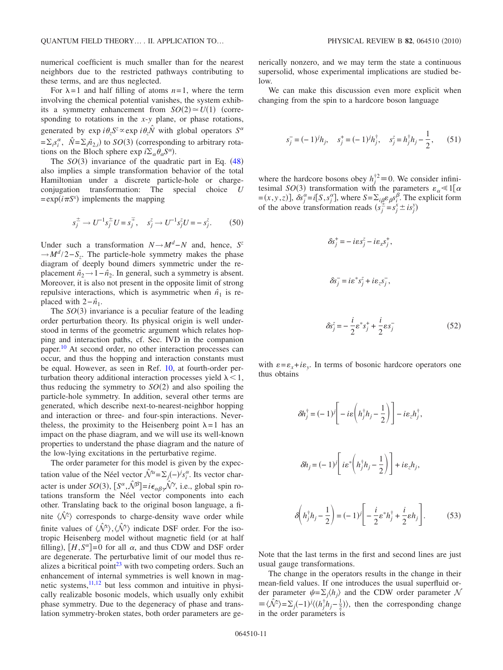numerical coefficient is much smaller than for the nearest neighbors due to the restricted pathways contributing to these terms, and are thus neglected.

For  $\lambda = 1$  and half filling of atoms  $n = 1$ , where the term involving the chemical potential vanishes, the system exhibits a symmetry enhancement from  $SO(2) \approx U(1)$  (corresponding to rotations in the *x*-*y* plane, or phase rotations, generated by  $\exp i\theta_zS^z \propto \exp i\theta_z\hat{N}$  with global operators  $S^{\alpha}$  $=\sum_i s_i^{\alpha}$ ,  $\hat{N}=\sum_i \hat{n}_{2,i}$  to *SO*(3) (corresponding to arbitrary rotations on the Bloch sphere  $\exp i\Sigma_{\alpha} \theta_{\alpha} S^{\alpha}$ ).

The  $SO(3)$  invariance of the quadratic part in Eq.  $(48)$  $(48)$  $(48)$ also implies a simple transformation behavior of the total Hamiltonian under a discrete particle-hole or chargeconjugation transformation: The special choice *U*  $= \exp(i\pi S^x)$  implements the mapping

$$
s_j^{\pm} \to U^{-1} s_j^{\pm} U = s_j^{\mp}, \quad s_j^{z} \to U^{-1} s_j^{z} U = -s_j^{z}.
$$
 (50)

Under such a transformation  $N \rightarrow M^d - N$  and, hence,  $S^z$  $\rightarrow M^{d}/2-S_z$ . The particle-hole symmetry makes the phase diagram of deeply bound dimers symmetric under the replacement  $\hat{n}_2 \rightarrow 1-\hat{n}_2$ . In general, such a symmetry is absent. Moreover, it is also not present in the opposite limit of strong repulsive interactions, which is asymmetric when  $\hat{n}_1$  is replaced with  $2-\hat{n}_1$ .

The  $SO(3)$  invariance is a peculiar feature of the leading order perturbation theory. Its physical origin is well understood in terms of the geometric argument which relates hopping and interaction paths, cf. Sec. IVD in the companion paper.<sup>10</sup> At second order, no other interaction processes can occur, and thus the hopping and interaction constants must be equal. However, as seen in Ref. [10,](#page-19-9) at fourth-order perturbation theory additional interaction processes yield  $\lambda < 1$ , thus reducing the symmetry to  $SO(2)$  and also spoiling the particle-hole symmetry. In addition, several other terms are generated, which describe next-to-nearest-neighbor hopping and interaction or three- and four-spin interactions. Nevertheless, the proximity to the Heisenberg point  $\lambda = 1$  has an impact on the phase diagram, and we will use its well-known properties to understand the phase diagram and the nature of the low-lying excitations in the perturbative regime.

The order parameter for this model is given by the expectation value of the Néel vector  $\hat{\mathcal{N}}^{\alpha} = \sum_{j} (-)^{j} s_i^{\alpha}$ . Its vector character is under *SO*(3),  $[S^{\alpha}, \hat{\mathcal{N}}^{\beta}] = i\epsilon_{\alpha\beta\gamma} \hat{\mathcal{N}}^{\gamma}$ , i.e., global spin rotations transform the Néel vector components into each other. Translating back to the original boson language, a finite  $\langle \hat{N}^z \rangle$  corresponds to charge-density wave order while finite values of  $\langle \hat{\mathcal{N}}^x \rangle$ ,  $\langle \hat{\mathcal{N}}^y \rangle$  indicate DSF order. For the isotropic Heisenberg model without magnetic field (or at half filling),  $[H, S^{\alpha}] = 0$  for all  $\alpha$ , and thus CDW and DSF order are degenerate. The perturbative limit of our model thus realizes a bicritical point $2<sup>3</sup>$  with two competing orders. Such an enhancement of internal symmetries is well known in magnetic systems, $11,12$  $11,12$  but less common and intuitive in physically realizable bosonic models, which usually only exhibit phase symmetry. Due to the degeneracy of phase and translation symmetry-broken states, both order parameters are generically nonzero, and we may term the state a continuous supersolid, whose experimental implications are studied below.

We can make this discussion even more explicit when changing from the spin to a hardcore boson language

$$
s_j^- = (-1)^j h_j, \quad s_j^+ = (-1)^j h_j^{\dagger}, \quad s_j^z = h_j^{\dagger} h_j - \frac{1}{2}, \qquad (51)
$$

where the hardcore bosons obey  $h_j^{\dagger 2} \equiv 0$ . We consider infinitesimal *SO*(3) transformation with the parameters  $\varepsilon_{\alpha} \le 1$ [ $\alpha$  $=[(x, y, z)]$ ,  $\delta s_j^{\alpha} = i[S, s_j^{\alpha}]$ , where  $S = \sum_{i \beta} \epsilon_{\beta} s_i^{\beta}$ . The explicit form of the above transformation reads  $(s_j^2 = s_j^x \pm is_j^y)$ 

$$
\delta s_j^+ = -ie s_j^z - ie_z s_j^+,
$$
  
\n
$$
\delta s_j^- = ie^* s_j^z + ie_z s_j^-,
$$
  
\n
$$
\delta s_j^z = -\frac{i}{2} e^* s_j^+ + \frac{i}{2} e s_j^-
$$
\n(52)

with  $\varepsilon = \varepsilon_x + i\varepsilon_y$ . In terms of bosonic hardcore operators one thus obtains

$$
\delta h_j^{\dagger} = (-1)^j \left[ -i\varepsilon \left( h_j^{\dagger} h_j - \frac{1}{2} \right) \right] - i\varepsilon_z h_j^{\dagger},
$$
  

$$
\delta h_j = (-1)^j \left[ i\varepsilon^* \left( h_j^{\dagger} h_j - \frac{1}{2} \right) \right] + i\varepsilon_z h_j,
$$
  

$$
\delta \left( h_j^{\dagger} h_j - \frac{1}{2} \right) = (-1)^j \left[ -\frac{i}{2} \varepsilon^* h_j^{\dagger} + \frac{i}{2} \varepsilon h_j \right].
$$
 (53)

Note that the last terms in the first and second lines are just usual gauge transformations.

The change in the operators results in the change in their mean-field values. If one introduces the usual superfluid order parameter  $\psi = \sum_j \langle h_j \rangle$  and the CDW order parameter N  $\equiv \langle \hat{\mathcal{N}}^z \rangle = \sum_j (-1)^j \langle (h_j^{\dagger} h_j - \frac{1}{2}) \rangle$ , then the corresponding change in the order parameters is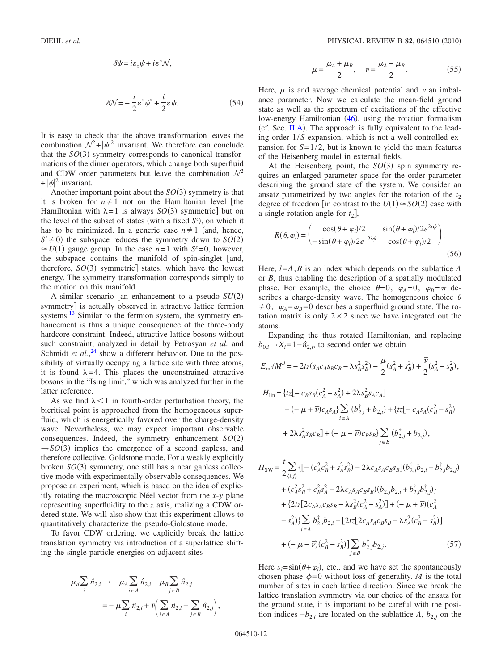$$
\delta \psi = i \varepsilon_z \psi + i \varepsilon^* \mathcal{N},
$$
  

$$
\delta \mathcal{N} = -\frac{i}{2} \varepsilon^* \psi^* + \frac{i}{2} \varepsilon \psi.
$$
 (54)

It is easy to check that the above transformation leaves the combination  $\mathcal{N}^2 + |\psi|^2$  invariant. We therefore can conclude that the  $SO(3)$  symmetry corresponds to canonical transformations of the dimer operators, which change both superfluid and CDW order parameters but leave the combination  $\mathcal{N}^2$ +  $|\psi|^2$  invariant.

Another important point about the  $SO(3)$  symmetry is that it is broken for  $n \neq 1$  not on the Hamiltonian level [the Hamiltonian with  $\lambda = 1$  is always *SO*(3) symmetric] but on the level of the subset of states (with a fixed  $S<sup>z</sup>$ ), on which it has to be minimized. In a generic case  $n \neq 1$  (and, hence,  $S^z \neq 0$ ) the subspace reduces the symmetry down to *SO*(2)  $\approx U(1)$  gauge group. In the case *n*=1 with *S*<sup>*z*</sup>=0, however, the subspace contains the manifold of spin-singlet  $[$ and, therefore,  $SO(3)$  symmetric] states, which have the lowest energy. The symmetry transformation corresponds simply to the motion on this manifold.

A similar scenario [an enhancement to a pseudo  $SU(2)$ symmetry] is actually observed in attractive lattice fermion systems.<sup>13</sup> Similar to the fermion system, the symmetry enhancement is thus a unique consequence of the three-body hardcore constraint. Indeed, attractive lattice bosons without such constraint, analyzed in detail by Petrosyan *et al.* and Schmidt *et al.*<sup>[24](#page-19-24)</sup> show a different behavior. Due to the possibility of virtually occupying a lattice site with three atoms, it is found  $\lambda = 4$ . This places the unconstrained attractive bosons in the "Ising limit," which was analyzed further in the latter reference.

As we find  $\lambda$  < 1 in fourth-order perturbation theory, the bicritical point is approached from the homogeneous superfluid, which is energetically favored over the charge-density wave. Nevertheless, we may expect important observable consequences. Indeed, the symmetry enhancement  $SO(2)$  $\rightarrow$ *SO*(3) implies the emergence of a second gapless, and therefore collective, Goldstone mode. For a weakly explicitly broken  $SO(3)$  symmetry, one still has a near gapless collective mode with experimentally observable consequences. We propose an experiment, which is based on the idea of explicitly rotating the macroscopic Néel vector from the *x*-*y* plane representing superfluidity to the *z* axis, realizing a CDW ordered state. We will also show that this experiment allows to quantitatively characterize the pseudo-Goldstone mode.

To favor CDW ordering, we explicitly break the lattice translation symmetry via introduction of a superlattice shifting the single-particle energies on adjacent sites

$$
-\mu_d \sum_i \hat{n}_{2,i} \rightarrow -\mu_A \sum_{i \in A} \hat{n}_{2,i} - \mu_B \sum_{j \in B} \hat{n}_{2,j}
$$

$$
= -\mu \sum_i \hat{n}_{2,i} + \bar{\nu} \left( \sum_{i \in A} \hat{n}_{2,i} - \sum_{j \in B} \hat{n}_{2,j} \right),
$$

$$
\mu = \frac{\mu_A + \mu_B}{2}, \quad \bar{\nu} = \frac{\mu_A - \mu_B}{2}.
$$
\n
$$
(55)
$$

Here,  $\mu$  is and average chemical potential and  $\bar{\nu}$  an imbalance parameter. Now we calculate the mean-field ground state as well as the spectrum of excitations of the effective low-energy Hamiltonian ([46](#page-9-4)), using the rotation formalism (cf. Sec.  $\Pi$  A). The approach is fully equivalent to the leading order 1/*S* expansion, which is not a well-controlled expansion for  $S = 1/2$ , but is known to yield the main features of the Heisenberg model in external fields.

At the Heisenberg point, the  $SO(3)$  spin symmetry requires an enlarged parameter space for the order parameter describing the ground state of the system. We consider an ansatz parametrized by two angles for the rotation of the  $t_2$ degree of freedom [in contrast to the  $U(1) \approx SO(2)$  case with a single rotation angle for  $t_2$ ,

$$
R(\theta, \varphi_l) = \begin{pmatrix} \cos(\theta + \varphi_l)/2 & \sin(\theta + \varphi_l)/2e^{2i\phi} \\ -\sin(\theta + \varphi_l)/2e^{-2i\phi} & \cos(\theta + \varphi_l)/2 \end{pmatrix}.
$$
\n(56)

Here, *l*=*A*,*B* is an index which depends on the sublattice *A* or *B*, thus enabling the description of a spatially modulated phase. For example, the choice  $\theta=0$ ,  $\varphi_A=0$ ,  $\varphi_B=\pi$  describes a charge-density wave. The homogeneous choice  $\theta$  $\neq 0$ ,  $\varphi_A = \varphi_B = 0$  describes a superfluid ground state. The rotation matrix is only  $2 \times 2$  since we have integrated out the atoms.

Expanding the thus rotated Hamiltonian, and replacing  $b_{0,i}$   $\rightarrow$  *X<sub>i</sub>* = 1  $-\hat{n}_{2,i}$ , to second order we obtain

$$
E_{\text{mf}}/M^{d} = -2tz(s_{A}c_{A}s_{B}c_{B} - \lambda s_{A}^{2}s_{B}^{2}) - \frac{\mu}{2}(s_{A}^{2} + s_{B}^{2}) + \frac{\overline{\nu}}{2}(s_{A}^{2} - s_{B}^{2}),
$$
  
\n
$$
H_{\text{lin}} = \{tz[-c_{B}s_{B}(c_{A}^{2} - s_{A}^{2}) + 2\lambda s_{B}^{2}s_{A}c_{A}] + (-\mu + \overline{\nu})c_{A}s_{A}\}\sum_{i \in A} (b_{2,i}^{\dagger} + b_{2,i}) + \{tz[-c_{A}s_{A}(c_{B}^{2} - s_{B}^{2}) + 2\lambda s_{A}^{2}s_{B}c_{B}] + (-\mu - \overline{\nu})c_{B}s_{B}\}\sum_{j \in B} (b_{2,j}^{\dagger} + b_{2,j}),
$$

$$
H_{SW} = \frac{t}{2} \sum_{\langle i,j \rangle} \{ [ -(c_A^2 c_B^2 + s_A^2 s_B^2) - 2\lambda c_A s_A c_B s_B ] (b_{2,j}^\dagger b_{2,i} + b_{2,i}^\dagger b_{2,j})
$$
  
+  $(c_A^2 s_B^2 + c_B^2 s_A^2 - 2\lambda c_A s_A c_B s_B) (b_{2,j} b_{2,i} + b_{2,i}^\dagger b_{2,j}^\dagger) \}$   
+  $\{ 2tz [ 2c_A s_A c_B s_B - \lambda s_B^2 (c_A^2 - s_A^2) ] + (-\mu + \overline{\nu}) (c_A^2 - s_A^2) \} \sum_{i \in A} b_{2,i}^\dagger b_{2,i} + [ 2tz [ 2c_A s_A c_B s_B - \lambda s_A^2 (c_B^2 - s_B^2) ]$   
+  $(-\mu - \overline{\nu}) (c_B^2 - s_B^2) ] \sum_{j \in B} b_{2,j}^\dagger b_{2,j}.$  (57)

Here  $s_l = \sin(\theta + \varphi_l)$ , etc., and we have set the spontaneously chosen phase  $\phi = 0$  without loss of generality. *M* is the total number of sites in each lattice direction. Since we break the lattice translation symmetry via our choice of the ansatz for the ground state, it is important to be careful with the position indices  $-b_{2,i}$  are located on the sublattice *A*,  $b_{2,i}$  on the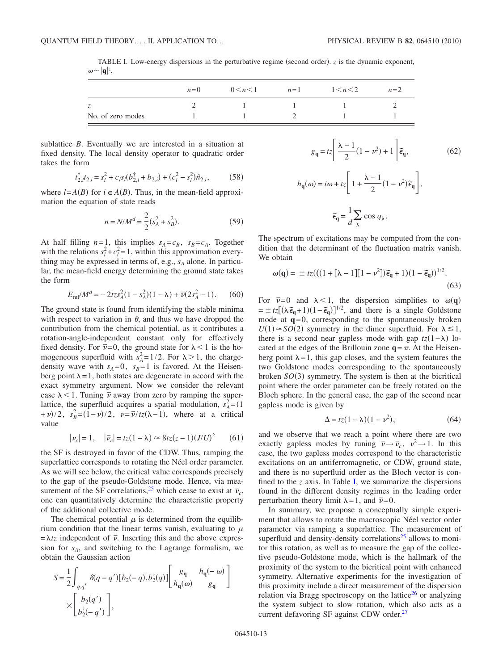<span id="page-12-1"></span>TABLE I. Low-energy dispersions in the perturbative regime (second order). *z* is the dynamic exponent,  $\omega$   $\sim$   $|\mathbf{q}|^{z}$ .

|                   | $n=0$ | $0 \le n \le 1$ | $n=1$ | $1 \le n \le 2$ | $n=2$ |
|-------------------|-------|-----------------|-------|-----------------|-------|
|                   |       |                 |       |                 |       |
| No. of zero modes |       |                 |       |                 |       |

sublattice *B*. Eventually we are interested in a situation at fixed density. The local density operator to quadratic order takes the form

$$
t_{2,i}^{\dagger}t_{2,i} = s_i^2 + c_i s_i (b_{2,i}^{\dagger} + b_{2,i}) + (c_i^2 - s_i^2) \hat{n}_{2,i},
$$
 (58)

where  $l = A(B)$  for  $i \in A(B)$ . Thus, in the mean-field approximation the equation of state reads

$$
n = N/M^d = \frac{2}{2}(s_A^2 + s_B^2). \tag{59}
$$

At half filling  $n=1$ , this implies  $s_A = c_B$ ,  $s_B = c_A$ . Together with the relations  $s_l^2 + c_l^2 = 1$ , within this approximation everything may be expressed in terms of, e.g.,  $s_A$  alone. In particular, the mean-field energy determining the ground state takes the form

$$
E_{\text{mf}}/M^d = -2tzs_A^2(1 - s_A^2)(1 - \lambda) + \bar{\nu}(2s_A^2 - 1). \tag{60}
$$

<span id="page-12-0"></span>The ground state is found from identifying the stable minima with respect to variation in  $\theta$ , and thus we have dropped the contribution from the chemical potential, as it contributes a rotation-angle-independent constant only for effectively fixed density. For  $\bar{\nu}=0$ , the ground state for  $\lambda < 1$  is the homogeneous superfluid with  $s_A^2 = 1/2$ . For  $\lambda > 1$ , the chargedensity wave with  $s_A=0$ ,  $s_B=1$  is favored. At the Heisenberg point  $\lambda = 1$ , both states are degenerate in accord with the exact symmetry argument. Now we consider the relevant case  $\lambda$ <1. Tuning  $\bar{\nu}$  away from zero by ramping the superlattice, the superfluid acquires a spatial modulation,  $s_A^2 = (1$  $+ \nu$ //2,  $s_B^2 = (1 - \nu)/2$ ,  $\nu = \overline{\nu}/tz(\lambda - 1)$ , where at a critical value

$$
\nu_c| = 1, \quad |\bar{\nu}_c| = tz(1 - \lambda) \approx 8tz(z - 1)(J/U)^2 \tag{61}
$$

the SF is destroyed in favor of the CDW. Thus, ramping the superlattice corresponds to rotating the Néel order parameter. As we will see below, the critical value corresponds precisely to the gap of the pseudo-Goldstone mode. Hence, via measurement of the SF correlations,<sup>25</sup> which cease to exist at  $\bar{v}_c$ , one can quantitatively determine the characteristic property of the additional collective mode.

The chemical potential  $\mu$  is determined from the equilibrium condition that the linear terms vanish, evaluating to  $\mu$  $\vec{r} = \lambda t \vec{z}$  independent of  $\vec{v}$ . Inserting this and the above expression for  $s_A$ , and switching to the Lagrange formalism, we obtain the Gaussian action

$$
S = \frac{1}{2} \int_{q,q'} \delta(q-q') [b_2(-q), b_2^{\dagger}(q)] \begin{bmatrix} g_q & h_q(-\omega) \\ h_q(\omega) & g_q \end{bmatrix}
$$
  
 
$$
\times \begin{bmatrix} b_2(q') \\ b_2^{\dagger}(-q') \end{bmatrix},
$$

$$
g_{\mathbf{q}} = tz \left[ \frac{\lambda - 1}{2} (1 - \nu^2) + 1 \right] \tilde{\epsilon}_{\mathbf{q}},
$$
 (62)

$$
h_{\mathbf{q}}(\omega) = i\omega + tz \left[ 1 + \frac{\lambda - 1}{2} (1 - \nu^2) \widetilde{\epsilon}_{\mathbf{q}} \right],
$$
  

$$
\widetilde{\epsilon}_{\mathbf{q}} = \frac{1}{d} \sum_{\lambda} \cos q_{\lambda}.
$$

The spectrum of excitations may be computed from the condition that the determinant of the fluctuation matrix vanish. We obtain

$$
\omega(\mathbf{q}) = \pm t z (((1 + [\lambda - 1][1 - \nu^2]) \tilde{\epsilon}_{\mathbf{q}} + 1)(1 - \tilde{\epsilon}_{\mathbf{q}}))^{1/2}.
$$
\n(63)

For  $\bar{v}=0$  and  $\lambda < 1$ , the dispersion simplifies to  $\omega(\mathbf{q})$  $= \pm t \bar{z} \left[ (\lambda \bar{\epsilon}_{q} + 1)(1 - \bar{\epsilon}_{q}) \right]^{1/2}$ , and there is a single Goldstone mode at  $q=0$ , corresponding to the spontaneously broken  $U(1) \approx SO(2)$  symmetry in the dimer superfluid. For  $\lambda \leq 1$ , there is a second near gapless mode with gap  $tz(1-\lambda)$  located at the edges of the Brillouin zone  $q = \pi$ . At the Heisenberg point  $\lambda = 1$ , this gap closes, and the system features the two Goldstone modes corresponding to the spontaneously broken  $SO(3)$  symmetry. The system is then at the bicritical point where the order parameter can be freely rotated on the Bloch sphere. In the general case, the gap of the second near gapless mode is given by

$$
\Delta = tz(1 - \lambda)(1 - \nu^2),\tag{64}
$$

and we observe that we reach a point where there are two exactly gapless modes by tuning  $\bar{\nu} \rightarrow \bar{\nu}_c$ ,  $\nu^2 \rightarrow 1$ . In this case, the two gapless modes correspond to the characteristic excitations on an antiferromagnetic, or CDW, ground state, and there is no superfluid order as the Bloch vector is confined to the *z* axis. In Table [I,](#page-12-1) we summarize the dispersions found in the different density regimes in the leading order perturbation theory limit  $\lambda = 1$ , and  $\bar{\nu} = 0$ .

In summary, we propose a conceptually simple experiment that allows to rotate the macroscopic Néel vector order parameter via ramping a superlattice. The measurement of superfluid and density-density correlations<sup>25</sup> allows to monitor this rotation, as well as to measure the gap of the collective pseudo-Goldstone mode, which is the hallmark of the proximity of the system to the bicritical point with enhanced symmetry. Alternative experiments for the investigation of this proximity include a direct measurement of the dispersion relation via Bragg spectroscopy on the lattice<sup>26</sup> or analyzing the system subject to slow rotation, which also acts as a current defavoring SF against CDW order.<sup>27</sup>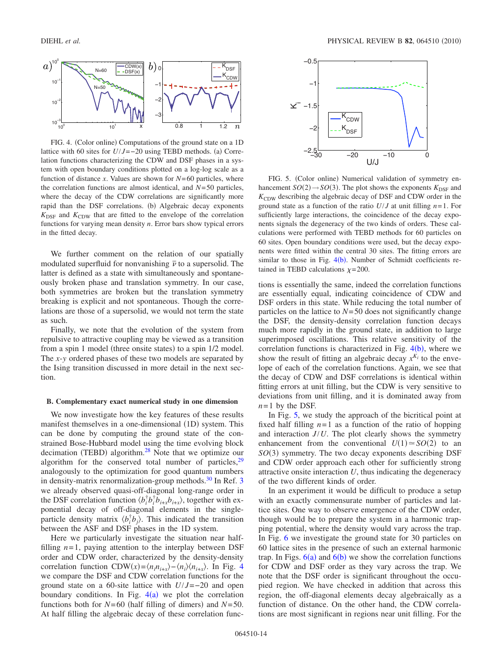<span id="page-13-0"></span>

FIG. 4. (Color online) Computations of the ground state on a 1D lattice with 60 sites for  $U/J = -20$  using TEBD methods. (a) Correlation functions characterizing the CDW and DSF phases in a system with open boundary conditions plotted on a log-log scale as a function of distance  $x$ . Values are shown for  $N=60$  particles, where the correlation functions are almost identical, and  $N=50$  particles, where the decay of the CDW correlations are significantly more rapid than the DSF correlations. (b) Algebraic decay exponents  $K_{\text{DSF}}$  and  $K_{\text{CDW}}$  that are fitted to the envelope of the correlation functions for varying mean density *n*. Error bars show typical errors in the fitted decay.

We further comment on the relation of our spatially modulated superfluid for nonvanishing  $\bar{\nu}$  to a supersolid. The latter is defined as a state with simultaneously and spontaneously broken phase and translation symmetry. In our case, both symmetries are broken but the translation symmetry breaking is explicit and not spontaneous. Though the correlations are those of a supersolid, we would not term the state as such.

Finally, we note that the evolution of the system from repulsive to attractive coupling may be viewed as a transition from a spin 1 model (three onsite states) to a spin 1/2 model. The *x*-*y* ordered phases of these two models are separated by the Ising transition discussed in more detail in the next section.

### **B. Complementary exact numerical study in one dimension**

We now investigate how the key features of these results manifest themselves in a one-dimensional (1D) system. This can be done by computing the ground state of the constrained Bose-Hubbard model using the time evolving block decimation (TEBD) algorithm.<sup>28</sup> Note that we optimize our algorithm for the conserved total number of particles,  $29$ analogously to the optimization for good quantum numbers in density-matrix renormalization-group methods. $30$  $30$  In Ref. 3 we already observed quasi-off-diagonal long-range order in the DSF correlation function  $\langle b_i^{\dagger} b_i^{\dagger} b_{i+x} b_{i+x} \rangle$ , together with exponential decay of off-diagonal elements in the singleparticle density matrix  $\langle b_i^{\dagger} b_j \rangle$ . This indicated the transition between the ASF and DSF phases in the 1D system.

Here we particularly investigate the situation near halffilling  $n=1$ , paying attention to the interplay between DSF order and CDW order, characterized by the density-density correlation function CDW(x)= $\langle n_i n_{i+x} \rangle - \langle n_i \rangle \langle n_{i+x} \rangle$ . In Fig. [4](#page-13-0) we compare the DSF and CDW correlation functions for the ground state on a 60-site lattice with *U*/*J*=−20 and open boundary conditions. In Fig.  $4(a)$  $4(a)$  we plot the correlation functions both for  $N=60$  (half filling of dimers) and  $N=50$ . At half filling the algebraic decay of these correlation func-

<span id="page-13-1"></span>

FIG. 5. (Color online) Numerical validation of symmetry enhancement  $SO(2) \rightarrow SO(3)$ . The plot shows the exponents  $K_{\text{DSF}}$  and  $K<sub>CDW</sub>$  describing the algebraic decay of DSF and CDW order in the ground state as a function of the ratio *U*/*J* at unit filling *n*= 1. For sufficiently large interactions, the coincidence of the decay exponents signals the degeneracy of the two kinds of orders. These calculations were performed with TEBD methods for 60 particles on 60 sites. Open boundary conditions were used, but the decay exponents were fitted within the central 30 sites. The fitting errors are similar to those in Fig.  $4(b)$  $4(b)$ . Number of Schmidt coefficients retained in TEBD calculations  $\chi = 200$ .

tions is essentially the same, indeed the correlation functions are essentially equal, indicating coincidence of CDW and DSF orders in this state. While reducing the total number of particles on the lattice to  $N=50$  does not significantly change the DSF, the density-density correlation function decays much more rapidly in the ground state, in addition to large superimposed oscillations. This relative sensitivity of the correlation functions is characterized in Fig.  $4(b)$  $4(b)$ , where we show the result of fitting an algebraic decay  $x^{K_i}$  to the envelope of each of the correlation functions. Again, we see that the decay of CDW and DSF correlations is identical within fitting errors at unit filling, but the CDW is very sensitive to deviations from unit filling, and it is dominated away from  $n=1$  by the DSF.

In Fig. [5,](#page-13-1) we study the approach of the bicritical point at fixed half filling  $n=1$  as a function of the ratio of hopping and interaction *J*/*U*. The plot clearly shows the symmetry enhancement from the conventional  $U(1) \approx SO(2)$  to an SO(3) symmetry. The two decay exponents describing DSF and CDW order approach each other for sufficiently strong attractive onsite interaction *U*, thus indicating the degeneracy of the two different kinds of order.

In an experiment it would be difficult to produce a setup with an exactly commensurate number of particles and lattice sites. One way to observe emergence of the CDW order, though would be to prepare the system in a harmonic trapping potential, where the density would vary across the trap. In Fig. [6](#page-14-1) we investigate the ground state for 30 particles on 60 lattice sites in the presence of such an external harmonic trap. In Figs.  $6(a)$  $6(a)$  and  $6(b)$  we show the correlation functions for CDW and DSF order as they vary across the trap. We note that the DSF order is significant throughout the occupied region. We have checked in addition that across this region, the off-diagonal elements decay algebraically as a function of distance. On the other hand, the CDW correlations are most significant in regions near unit filling. For the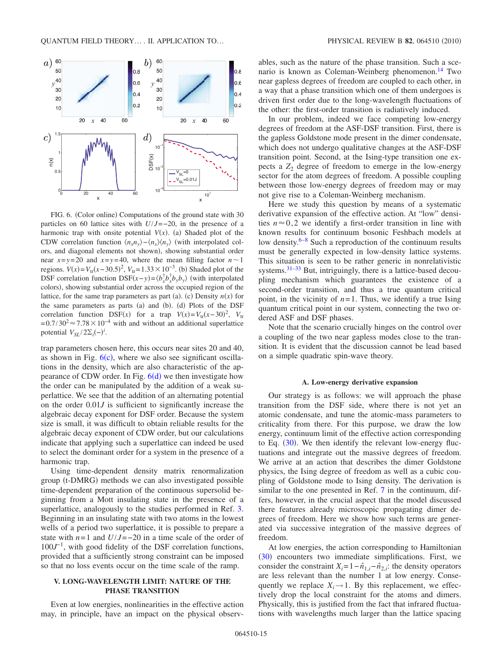<span id="page-14-1"></span>

FIG. 6. (Color online) Computations of the ground state with 30 particles on 60 lattice sites with *U*/*J*=−20, in the presence of a harmonic trap with onsite potential  $V(x)$ . (a) Shaded plot of the CDW correlation function  $\langle n_x n_y \rangle - \langle n_x \rangle \langle n_y \rangle$  (with interpolated colors, and diagonal elements not shown), showing substantial order near  $x=y=20$  and  $x=y=40$ , where the mean filling factor  $n \sim 1$ regions.  $V(x) = V_{tr}(x-30.5)^2$ ,  $V_{tr} = 1.33 \times 10^{-3}$ . (b) Shaded plot of the DSF correlation function DSF $(x-y) = \langle b_x^{\dagger} b_x^{\dagger} b_y b_y \rangle$  (with interpolated colors), showing substantial order across the occupied region of the lattice, for the same trap parameters as part (a). (c) Density  $n(x)$  for the same parameters as parts (a) and (b). (d) Plots of the DSF correlation function DSF(*x*) for a trap  $V(x) = V_{tr}(x-30)^2$ ,  $V_{tr}$  $= 0.7/30^2 \approx 7.78 \times 10^{-4}$  with and without an additional superlattice potential  $V_{SL}/2\Sigma_i(-)^i$ .

trap parameters chosen here, this occurs near sites 20 and 40, as shown in Fig.  $6(c)$  $6(c)$ , where we also see significant oscillations in the density, which are also characteristic of the appearance of CDW order. In Fig.  $6(d)$  $6(d)$  we then investigate how the order can be manipulated by the addition of a weak superlattice. We see that the addition of an alternating potential on the order 0.01*J* is sufficient to significantly increase the algebraic decay exponent for DSF order. Because the system size is small, it was difficult to obtain reliable results for the algebraic decay exponent of CDW order, but our calculations indicate that applying such a superlattice can indeed be used to select the dominant order for a system in the presence of a harmonic trap.

Using time-dependent density matrix renormalization group (t-DMRG) methods we can also investigated possible time-dependent preparation of the continuous supersolid beginning from a Mott insulating state in the presence of a superlattice, analogously to the studies performed in Ref. [3.](#page-19-2) Beginning in an insulating state with two atoms in the lowest wells of a period two superlattice, it is possible to prepare a state with *n*= 1 and *U*/*J*=−20 in a time scale of the order of 100*J*−1, with good fidelity of the DSF correlation functions, provided that a sufficiently strong constraint can be imposed so that no loss events occur on the time scale of the ramp.

# <span id="page-14-0"></span>**V. LONG-WAVELENGTH LIMIT: NATURE OF THE PHASE TRANSITION**

Even at low energies, nonlinearities in the effective action may, in principle, have an impact on the physical observables, such as the nature of the phase transition. Such a scenario is known as Coleman-Weinberg phenomenon.<sup>14</sup> Two near gapless degrees of freedom are coupled to each other, in a way that a phase transition which one of them undergoes is driven first order due to the long-wavelength fluctuations of the other: the first-order transition is radiatively induced.

In our problem, indeed we face competing low-energy degrees of freedom at the ASF-DSF transition. First, there is the gapless Goldstone mode present in the dimer condensate, which does not undergo qualitative changes at the ASF-DSF transition point. Second, at the Ising-type transition one expects a  $Z_2$  degree of freedom to emerge in the low-energy sector for the atom degrees of freedom. A possible coupling between those low-energy degrees of freedom may or may not give rise to a Coleman-Weinberg mechanism.

Here we study this question by means of a systematic derivative expansion of the effective action. At "low" densities  $n \approx 0.2$  we identify a first-order transition in line with known results for continuum bosonic Feshbach models at low density. $6-8$  Such a reproduction of the continuum results must be generally expected in low-density lattice systems. This situation is seen to be rather generic in nonrelativistic systems.<sup>31[–33](#page-20-7)</sup> But, intriguingly, there is a lattice-based decoupling mechanism which guarantees the existence of a second-order transition, and thus a true quantum critical point, in the vicinity of  $n=1$ . Thus, we identify a true Ising quantum critical point in our system, connecting the two ordered ASF and DSF phases.

Note that the scenario crucially hinges on the control over a coupling of the two near gapless modes close to the transition. It is evident that the discussion cannot be lead based on a simple quadratic spin-wave theory.

# **A. Low-energy derivative expansion**

Our strategy is as follows: we will approach the phase transition from the DSF side, where there is not yet an atomic condensate, and tune the atomic-mass parameters to criticality from there. For this purpose, we draw the low energy, continuum limit of the effective action corresponding to Eq.  $(30)$  $(30)$  $(30)$ . We then identify the relevant low-energy fluctuations and integrate out the massive degrees of freedom. We arrive at an action that describes the dimer Goldstone physics, the Ising degree of freedom as well as a cubic coupling of Goldstone mode to Ising density. The derivation is similar to the one presented in Ref. [7](#page-19-6) in the continuum, differs, however, in the crucial aspect that the model discussed there features already microscopic propagating dimer degrees of freedom. Here we show how such terms are generated via successive integration of the massive degrees of freedom.

At low energies, the action corresponding to Hamiltonian ([30](#page-6-1)) encounters two immediate simplifications. First, we consider the constraint  $X_i = 1 - \hat{n}_{1,i} - \hat{n}_{2,i}$ ; the density operators are less relevant than the number 1 at low energy. Consequently we replace  $X_i \rightarrow 1$ . By this replacement, we effectively drop the local constraint for the atoms and dimers. Physically, this is justified from the fact that infrared fluctuations with wavelengths much larger than the lattice spacing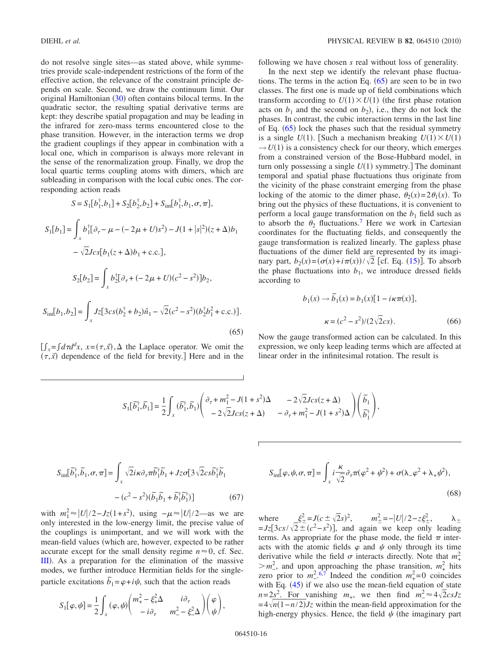do not resolve single sites—as stated above, while symmetries provide scale-independent restrictions of the form of the effective action, the relevance of the constraint principle depends on scale. Second, we draw the continuum limit. Our original Hamiltonian ([30](#page-6-1)) often contains bilocal terms. In the quadratic sector, the resulting spatial derivative terms are kept: they describe spatial propagation and may be leading in the infrared for zero-mass terms encountered close to the phase transition. However, in the interaction terms we drop the gradient couplings if they appear in combination with a local one, which in comparison is always more relevant in the sense of the renormalization group. Finally, we drop the local quartic terms coupling atoms with dimers, which are subleading in comparison with the local cubic ones. The corresponding action reads

<span id="page-15-0"></span>
$$
S = S_1[b_1^{\dagger}, b_1] + S_2[b_2^{\dagger}, b_2] + S_{int}[b_1^{\dagger}, b_1, \sigma, \pi],
$$
  
\n
$$
S_1[b_1] = \int_x b_1^{\dagger} [\partial_{\tau} - \mu - (-2\mu + U)s^2) - J(1 + |s|^2)(z + \Delta)b_1
$$
  
\n
$$
- \sqrt{2}Jcs[b_1(z + \Delta)b_1 + \text{c.c.}],
$$
  
\n
$$
S_2[b_2] = \int_x b_2^{\dagger} [\partial_{\tau} + (-2\mu + U)(c^2 - s^2)]b_2,
$$
  
\n
$$
S_{int}[b_1, b_2] = \int_x Jz[3cs(b_2^{\dagger} + b_2)\hat{n}_1 - \sqrt{2}(c^2 - s^2)(b_2^{\dagger}b_1^2 + \text{c.c.})].
$$
  
\n(65)

 $\int_{\mathcal{X}} f(x) \, dx = f(x, \vec{x})$ ,  $\Delta$  the Laplace operator. We omit the  $(\tau, \vec{x})$  dependence of the field for brevity.] Here and in the following we have chosen *s* real without loss of generality.

In the next step we identify the relevant phase fluctuations. The terms in the action Eq.  $(65)$  $(65)$  $(65)$  are seen to be in two classes. The first one is made up of field combinations which transform according to  $U(1) \times U(1)$  (the first phase rotation acts on  $b_1$  and the second on  $b_2$ ), i.e., they do not lock the phases. In contrast, the cubic interaction terms in the last line of Eq.  $(65)$  $(65)$  $(65)$  lock the phases such that the residual symmetry is a single  $U(1)$ . [Such a mechanism breaking  $U(1) \times U(1)$  $\rightarrow U(1)$  is a consistency check for our theory, which emerges from a constrained version of the Bose-Hubbard model, in turn only possessing a single  $U(1)$  symmetry.] The dominant temporal and spatial phase fluctuations thus originate from the vicinity of the phase constraint emerging from the phase locking of the atomic to the dimer phase,  $\theta_2(x) = 2\theta_1(x)$ . To bring out the physics of these fluctuations, it is convenient to perform a local gauge transformation on the  $b_1$  field such as to absorb the  $\theta_2$  fluctuations.<sup>7</sup> Here we work in Cartesian coordinates for the fluctuating fields, and consequently the gauge transformation is realized linearly. The gapless phase fluctuations of the dimer field are represented by its imaginary part,  $b_2(x) = (\sigma(x) + i\pi(x)) / \sqrt{2}$  [cf. Eq. ([15](#page-4-5))]. To absorb the phase fluctuations into  $b_1$ , we introduce dressed fields according to

$$
b_1(x) \rightarrow \tilde{b}_1(x) = b_1(x)[1 - i\kappa \pi(x)],
$$
  

$$
\kappa = (c^2 - s^2)/(2\sqrt{2}cs).
$$
 (66)

<span id="page-15-1"></span>Now the gauge transformed action can be calculated. In this expression, we only keep leading terms which are affected at linear order in the infinitesimal rotation. The result is

$$
S_1[\tilde{b}_1^{\dagger}, \tilde{b}_1] = \frac{1}{2} \int_x (\tilde{b}_1^{\dagger}, \tilde{b}_1) \begin{pmatrix} \frac{\partial_{\tau} + m_1^2 - J(1 + s^2)\Delta}{2} & -\frac{2\sqrt{2}Jcs(z + \Delta)}{-2\sqrt{2}Jcs(z + \Delta)} \\ -\frac{2\sqrt{2}Jcs(z + \Delta)}{-2\sqrt{2}Jcs(z + \Delta)} & -\frac{\partial_{\tau} + m_1^2 - J(1 + s^2)\Delta}{2} \end{pmatrix} \begin{pmatrix} \tilde{b}_1 \\ \tilde{b}_1^{\dagger} \end{pmatrix},
$$

$$
S_{\text{int}}[\tilde{b}_1^{\dagger}, \tilde{b}_1, \sigma, \pi] = \int_x \sqrt{2} i \kappa \partial_{\tau} \pi \tilde{b}_1^{\dagger} \tilde{b}_1 + Jz \sigma [3 \sqrt{2} c s \tilde{b}_1^{\dagger} \tilde{b}_1 - (c^2 - s^2) (\tilde{b}_1 \tilde{b}_1 + \tilde{b}_1^{\dagger} \tilde{b}_1^{\dagger}) ]
$$
(67)

with  $m_1^2 \approx |U|/2 - Jz(1+s^2)$ , using  $-\mu \approx |U|/2$ —as we are only interested in the low-energy limit, the precise value of the couplings is unimportant, and we will work with the mean-field values (which are, however, expected to be rather accurate except for the small density regime  $n \approx 0$ , cf. Sec. [III](#page-5-0)). As a preparation for the elimination of the massive modes, we further introduce Hermitian fields for the singleparticle excitations  $\tilde{b}_1 = \varphi + i\psi$ , such that the action reads

$$
S_1[\varphi,\psi] = \frac{1}{2} \int_x (\varphi,\psi) \begin{pmatrix} m_+^2 - \xi_+^2 \Delta & i \partial_\tau \\ -i \partial_\tau & m_-^2 - \xi_-^2 \Delta \end{pmatrix} \begin{pmatrix} \varphi \\ \psi \end{pmatrix},
$$

$$
S_{\text{int}}[\varphi, \psi, \sigma, \pi] = \int_{x} i \frac{\kappa}{\sqrt{2}} \partial_{\tau} \pi (\varphi^{2} + \psi^{2}) + \sigma (\lambda_{-} \varphi^{2} + \lambda_{+} \psi^{2}),
$$
\n(68)

where  $\xi_{\pm}^2 = J(c \pm \sqrt{2}s)^2$ ,  $m_{\pm}^2 = -|U|/2 - z\xi_{\pm}^2$ ,  $\lambda_{\pm}$  $=Jz[3cs/\sqrt{2} \pm (c^2-s^2)]$ , and again we keep only leading terms. As appropriate for the phase mode, the field  $\pi$  interacts with the atomic fields  $\varphi$  and  $\psi$  only through its time derivative while the field  $\sigma$  interacts directly. Note that  $m_+^2$  $>m_{-}^2$ , and upon approaching the phase transition,  $m_+^2$  hits zero prior to  $m_-^{2.6,7}$  $m_-^{2.6,7}$  $m_-^{2.6,7}$  $m_-^{2.6,7}$  Indeed the condition  $m_+^{2}=0$  coincides with Eq.  $(45)$  $(45)$  $(45)$  if we also use the mean-field equation of state  $n = 2s^2$ . For vanishing *m*<sub>+</sub>, we then find  $m^2 \approx 4\sqrt{2}csJz$  $= 4\sqrt{n(1-n/2)}Jz$  within the mean-field approximation for the high-energy physics. Hence, the field  $\psi$  (the imaginary part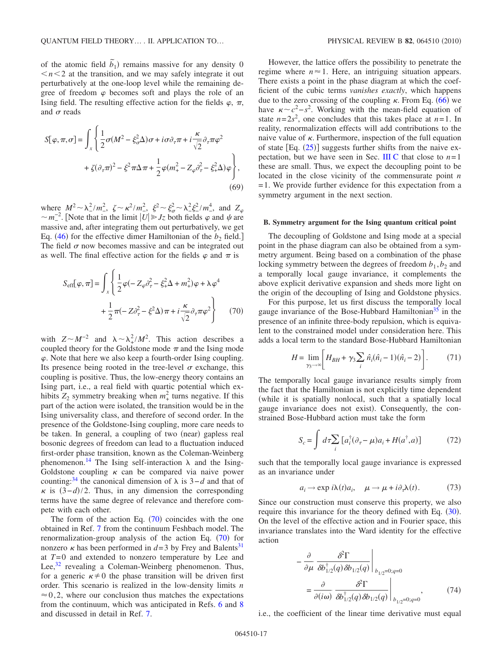of the atomic field  $\tilde{b}_1$ ) remains massive for any density 0  $\leq n \leq 2$  at the transition, and we may safely integrate it out perturbatively at the one-loop level while the remaining degree of freedom  $\varphi$  becomes soft and plays the role of an Ising field. The resulting effective action for the fields  $\varphi$ ,  $\pi$ , and  $\sigma$  reads

$$
S[\varphi, \pi, \sigma] = \int_{x} \left\{ \frac{1}{2} \sigma(M^{2} - \xi_{\sigma}^{2} \Delta) \sigma + i \sigma \partial_{\tau} \pi + i \frac{\kappa}{\sqrt{2}} \partial_{\tau} \pi \varphi^{2} + \zeta (\partial_{\tau} \pi)^{2} - \xi^{2} \pi \Delta \pi + \frac{1}{2} \varphi (m_{+}^{2} - Z_{\varphi} \partial_{\tau}^{2} - \xi_{+}^{2} \Delta) \varphi \right\},
$$
\n(69)

where  $M^2 \sim \lambda^2/m^2$ ,  $\zeta \sim \kappa^2/m^2$ ,  $\xi^2 \sim \xi^2_{\sigma} \sim \lambda^2 {\xi^2/m^4}$ , and  $Z_{\varphi}$  $\sim m_-^{-2}$ . [Note that in the limit  $|U| \ge J_z$  both fields  $\varphi$  and  $\psi$  are massive and, after integrating them out perturbatively, we get Eq.  $(46)$  $(46)$  $(46)$  for the effective dimer Hamiltonian of the  $b<sub>2</sub>$  field.] The field  $\sigma$  now becomes massive and can be integrated out as well. The final effective action for the fields  $\varphi$  and  $\pi$  is

<span id="page-16-1"></span>
$$
S_{\text{eff}}[\varphi,\pi] = \int_{x} \left\{ \frac{1}{2} \varphi \left( -Z_{\varphi} \partial_{\tau}^{2} - \xi_{+}^{2} \Delta + m_{+}^{2} \right) \varphi + \lambda \varphi^{4} \right. \\ \left. + \frac{1}{2} \pi \left( -Z \partial_{\tau}^{2} - \xi^{2} \Delta \right) \pi + i \frac{\kappa}{\sqrt{2}} \partial_{\tau} \pi \varphi^{2} \right\} \tag{70}
$$

with  $Z \sim M^{-2}$  and  $\lambda \sim \lambda_+^2 / M^2$ . This action describes a coupled theory for the Goldstone mode  $\pi$  and the Ising mode  $\varphi$ . Note that here we also keep a fourth-order Ising coupling. Its presence being rooted in the tree-level  $\sigma$  exchange, this coupling is positive. Thus, the low-energy theory contains an Ising part, i.e., a real field with quartic potential which exhibits  $Z_2$  symmetry breaking when  $m_+^2$  turns negative. If this part of the action were isolated, the transition would be in the Ising universality class, and therefore of second order. In the presence of the Goldstone-Ising coupling, more care needs to be taken. In general, a coupling of two (near) gapless real bosonic degrees of freedom can lead to a fluctuation induced first-order phase transition, known as the Coleman-Weinberg phenomenon.<sup>14</sup> The Ising self-interaction  $\lambda$  and the Ising-Goldstone coupling  $\kappa$  can be compared via naive power counting:<sup>34</sup> the canonical dimension of  $\lambda$  is 3–*d* and that of  $\kappa$  is  $(3-d)/2$ . Thus, in any dimension the corresponding terms have the same degree of relevance and therefore compete with each other.

The form of the action Eq.  $(70)$  $(70)$  $(70)$  coincides with the one obtained in Ref. [7](#page-19-6) from the continuum Feshbach model. The renormalization-group analysis of the action Eq. ([70](#page-16-1)) for nonzero  $\kappa$  has been performed in  $d=3$  by Frey and Balents<sup>31</sup> at *T*= 0 and extended to nonzero temperature by Lee and Lee,<sup>32</sup> revealing a Coleman-Weinberg phenomenon. Thus, for a generic  $\kappa \neq 0$  the phase transition will be driven first order. This scenario is realized in the low-density limits *n*  $\approx 0.2$ , where our conclusion thus matches the expectations from the continuum, which was anticipated in Refs. [6](#page-19-5) and [8](#page-19-7) and discussed in detail in Ref. [7.](#page-19-6)

However, the lattice offers the possibility to penetrate the regime where  $n \approx 1$ . Here, an intriguing situation appears. There exists a point in the phase diagram at which the coefficient of the cubic terms *vanishes exactly*, which happens due to the zero crossing of the coupling  $\kappa$ . From Eq. ([66](#page-15-1)) we have  $\kappa \sim c^2 - s^2$ . Working with the mean-field equation of state  $n=2s^2$ , one concludes that this takes place at  $n=1$ . In reality, renormalization effects will add contributions to the naive value of  $\kappa$ . Furthermore, inspection of the full equation of state  $[Eq. (25)]$  $[Eq. (25)]$  $[Eq. (25)]$  suggests further shifts from the naive ex-pectation, but we have seen in Sec. [III C](#page-7-1) that close to  $n=1$ these are small. Thus, we expect the decoupling point to be located in the close vicinity of the commensurate point *n*  $= 1$ . We provide further evidence for this expectation from a symmetry argument in the next section.

#### <span id="page-16-0"></span>**B. Symmetry argument for the Ising quantum critical point**

The decoupling of Goldstone and Ising mode at a special point in the phase diagram can also be obtained from a symmetry argument. Being based on a combination of the phase locking symmetry between the degrees of freedom  $b_1$ ,  $b_2$  and a temporally local gauge invariance, it complements the above explicit derivative expansion and sheds more light on the origin of the decoupling of Ising and Goldstone physics.

For this purpose, let us first discuss the temporally local gauge invariance of the Bose-Hubbard Hamiltonian $35$  in the presence of an infinite three-body repulsion, which is equivalent to the constrained model under consideration here. This adds a local term to the standard Bose-Hubbard Hamiltonian

$$
H = \lim_{\gamma_3 \to \infty} \left[ H_{BH} + \gamma_3 \sum_i \hat{n}_i (\hat{n}_i - 1)(\hat{n}_i - 2) \right].
$$
 (71)

The temporally local gauge invariance results simply from the fact that the Hamiltonian is not explicitly time dependent while it is spatially nonlocal, such that a spatially local gauge invariance does not exist). Consequently, the constrained Bose-Hubbard action must take the form

$$
S_c = \int d\tau \sum_i \left[ a_i^\dagger (\partial_\tau - \mu) a_i + H(a^\dagger, a) \right]
$$
 (72)

such that the temporally local gauge invariance is expressed as an invariance under

$$
a_i \to \exp i\lambda(t)a_i, \quad \mu \to \mu + i\partial_\tau \lambda(t). \tag{73}
$$

Since our construction must conserve this property, we also require this invariance for the theory defined with Eq. ([30](#page-6-1)). On the level of the effective action and in Fourier space, this invariance translates into the Ward identity for the effective action

<span id="page-16-2"></span>
$$
-\frac{\partial}{\partial \mu} \frac{\partial^2 \Gamma}{\partial b_{1/2}^\dagger(q) \partial b_{1/2}(q)}\Big|_{b_{1/2}=0;q=0}
$$
  
=\frac{\partial}{\partial(i\omega)} \frac{\partial^2 \Gamma}{\partial b\_{1/2}^\dagger(q) \partial b\_{1/2}(q)}\Big|\_{b\_{1/2}=0;q=0}, (74)

i.e., the coefficient of the linear time derivative must equal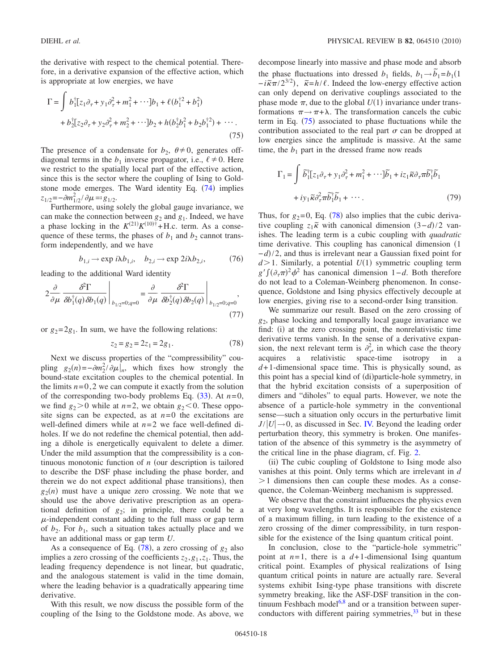the derivative with respect to the chemical potential. Therefore, in a derivative expansion of the effective action, which is appropriate at low energies, we have

<span id="page-17-1"></span>
$$
\Gamma = \int b_1^{\dagger} [z_1 \partial_{\tau} + y_1 \partial_{\tau}^2 + m_1^2 + \cdots] b_1 + \ell (b_1^{\dagger 2} + b_1^2) \n+ b_2^{\dagger} [z_2 \partial_{\tau} + y_2 \partial_{\tau}^2 + m_2^2 + \cdots] b_2 + h(b_2^{\dagger} b_1^2 + b_2 b_1^{\dagger 2}) + \cdots
$$
\n(75)

The presence of a condensate for  $b_2$ ,  $\theta \neq 0$ , generates offdiagonal terms in the  $b_1$  inverse propagator, i.e.,  $\ell \neq 0$ . Here we restrict to the spatially local part of the effective action, since this is the sector where the coupling of Ising to Goldstone mode emerges. The Ward identity Eq.  $(74)$  $(74)$  $(74)$  implies  $z_{1/2} = -\partial m_{1/2}^2 / \partial \mu = g_{1/2}.$ 

Furthermore, using solely the global gauge invariance, we can make the connection between  $g_2$  and  $g_1$ . Indeed, we have a phase locking in the  $K^{(21)}K^{(10)\dagger}$ +H.c. term. As a consequence of these terms, the phases of  $b_1$  and  $b_2$  cannot transform independently, and we have

$$
b_{1,i} \to \exp(i\lambda b_{1,i}, \quad b_{2,i} \to \exp(2i\lambda b_{2,i}, \tag{76}
$$

leading to the additional Ward identity

$$
2\frac{\partial}{\partial \mu} \frac{\partial^2 \Gamma}{\partial b_1^{\dagger}(q) \partial b_1(q)} \bigg|_{b_{1/2}=0; q=0} = \frac{\partial}{\partial \mu} \frac{\partial^2 \Gamma}{\partial b_2^{\dagger}(q) \partial b_2(q)} \bigg|_{b_{1/2}=0; q=0},
$$
\n(77)

<span id="page-17-0"></span>or  $g_2 = 2g_1$ . In sum, we have the following relations:

$$
z_2 = g_2 = 2z_1 = 2g_1. \tag{78}
$$

Next we discuss properties of the "compressibility" coupling  $g_2(n) = -\frac{\partial m_2^2}{\partial \mu}|_n$ , which fixes how strongly the bound-state excitation couples to the chemical potential. In the limits  $n = 0, 2$  we can compute it exactly from the solution of the corresponding two-body problems Eq.  $(33)$  $(33)$  $(33)$ . At  $n=0$ , we find  $g_2 > 0$  while at  $n=2$ , we obtain  $g_2 < 0$ . These opposite signs can be expected, as at  $n=0$  the excitations are well-defined dimers while at  $n=2$  we face well-defined diholes. If we do not redefine the chemical potential, then adding a dihole is energetically equivalent to delete a dimer. Under the mild assumption that the compressibility is a continuous monotonic function of  $n$  (our description is tailored to describe the DSF phase including the phase border, and therein we do not expect additional phase transitions), then  $g_2(n)$  must have a unique zero crossing. We note that we should use the above derivative prescription as an operational definition of  $g_2$ ; in principle, there could be a  $\mu$ -independent constant adding to the full mass or gap term of  $b_2$ . For  $b_1$ , such a situation takes actually place and we have an additional mass or gap term *U*.

As a consequence of Eq.  $(78)$  $(78)$  $(78)$ , a zero crossing of  $g_2$  also implies a zero crossing of the coefficients  $z_2$ ,  $g_1$ ,  $z_1$ . Thus, the leading frequency dependence is not linear, but quadratic, and the analogous statement is valid in the time domain, where the leading behavior is a quadratically appearing time derivative.

With this result, we now discuss the possible form of the coupling of the Ising to the Goldstone mode. As above, we decompose linearly into massive and phase mode and absorb the phase fluctuations into dressed *b*<sub>1</sub> fields,  $b_1 \rightarrow \tilde{b}_1 = b_1(1$  $-i\tilde{\kappa}\pi/2^{3/2}$ ,  $\tilde{\kappa}=h/\ell$ . Indeed the low-energy effective action can only depend on derivative couplings associated to the phase mode  $\pi$ , due to the global  $U(1)$  invariance under transformations  $\pi \rightarrow \pi + \lambda$ . The transformation cancels the cubic term in Eq.  $(75)$  $(75)$  $(75)$  associated to phase fluctuations while the contribution associated to the real part  $\sigma$  can be dropped at low energies since the amplitude is massive. At the same time, the  $b_1$  part in the dressed frame now reads

$$
\Gamma_1 = \int \tilde{b}_1^{\dagger} [z_1 \partial_{\tau} + y_1 \partial_{\tau}^2 + m_1^2 + \cdots] \tilde{b}_1 + iz_1 \tilde{\kappa} \partial_{\tau} \pi \tilde{b}_1^{\dagger} \tilde{b}_1
$$

$$
+ iy_1 \tilde{\kappa} \partial_{\tau}^2 \pi \tilde{b}_1^{\dagger} \tilde{b}_1 + \cdots.
$$
 (79)

Thus, for  $g_2=0$ , Eq. ([78](#page-17-0)) also implies that the cubic derivative coupling  $z_1\tilde{\kappa}$  with canonical dimension  $(3-d)/2$  vanishes. The leading term is a cubic coupling with *quadratic* time derivative. This coupling has canonical dimension  $(1)$  $-d$ <sup>2</sup>/2, and thus is irrelevant near a Gaussian fixed point for  $d > 1$ . Similarly, a potential  $U(1)$  symmetric coupling term  $g' \int (\partial_{\tau} \pi)^2 \phi^2$  has canonical dimension 1*-d*. Both therefore do not lead to a Coleman-Weinberg phenomenon. In consequence, Goldstone and Ising physics effectively decouple at low energies, giving rise to a second-order Ising transition.

We summarize our result. Based on the zero crossing of *g*2, phase locking and temporally local gauge invariance we find: (i) at the zero crossing point, the nonrelativistic time derivative terms vanish. In the sense of a derivative expansion, the next relevant term is  $\partial_{\tau}^2$ , in which case the theory acquires a relativistic space-time isotropy in a *d*+ 1-dimensional space time. This is physically sound, as this point has a special kind of (di)particle-hole symmetry, in that the hybrid excitation consists of a superposition of dimers and "diholes" to equal parts. However, we note the absence of a particle-hole symmetry in the conventional sense—such a situation only occurs in the perturbative limit  $J/|U| \rightarrow 0$ , as discussed in Sec. [IV.](#page-8-0) Beyond the leading order perturbation theory, this symmetry is broken. One manifestation of the absence of this symmetry is the asymmetry of the critical line in the phase diagram, cf. Fig. [2.](#page-9-0)

(ii) The cubic coupling of Goldstone to Ising mode also vanishes at this point. Only terms which are irrelevant in *d*  $>1$  dimensions then can couple these modes. As a consequence, the Coleman-Weinberg mechanism is suppressed.

We observe that the constraint influences the physics even at very long wavelengths. It is responsible for the existence of a maximum filling, in turn leading to the existence of a zero crossing of the dimer compressibility, in turn responsible for the existence of the Ising quantum critical point.

In conclusion, close to the "particle-hole symmetric" point at  $n=1$ , there is a  $d+1$ -dimensional Ising quantum critical point. Examples of physical realizations of Ising quantum critical points in nature are actually rare. Several systems exhibit Ising-type phase transitions with discrete symmetry breaking, like the ASF-DSF transition in the con-tinuum Feshbach model<sup>6,[8](#page-19-7)</sup> and or a transition between superconductors with different pairing symmetries,  $33$  but in these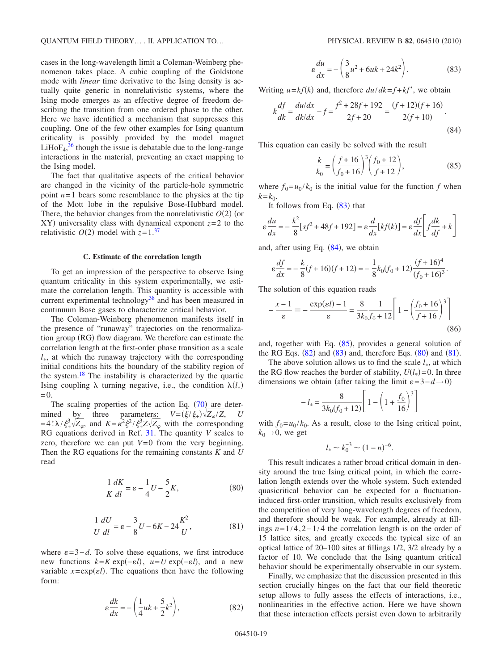cases in the long-wavelength limit a Coleman-Weinberg phenomenon takes place. A cubic coupling of the Goldstone mode with *linear* time derivative to the Ising density is actually quite generic in nonrelativistic systems, where the Ising mode emerges as an effective degree of freedom describing the transition from one ordered phase to the other. Here we have identified a mechanism that suppresses this coupling. One of the few other examples for Ising quantum criticality is possibly provided by the model magnet  $LiHoF<sub>4</sub><sup>36</sup>$  $LiHoF<sub>4</sub><sup>36</sup>$  $LiHoF<sub>4</sub><sup>36</sup>$  though the issue is debatable due to the long-range interactions in the material, preventing an exact mapping to the Ising model.

The fact that qualitative aspects of the critical behavior are changed in the vicinity of the particle-hole symmetric point  $n=1$  bears some resemblance to the physics at the tip of the Mott lobe in the repulsive Bose-Hubbard model. There, the behavior changes from the nonrelativistic  $O(2)$  (or  $XY$ ) universality class with dynamical exponent  $z = 2$  to the relativistic  $O(2)$  model with  $z=1$ .<sup>37</sup>

#### **C. Estimate of the correlation length**

To get an impression of the perspective to observe Ising quantum criticality in this system experimentally, we estimate the correlation length. This quantity is accessible with current experimental technology<sup>38</sup> and has been measured in continuum Bose gases to characterize critical behavior.

The Coleman-Weinberg phenomenon manifests itself in the presence of "runaway" trajectories on the renormalization group (RG) flow diagram. We therefore can estimate the correlation length at the first-order phase transition as a scale  $l_{\ast}$ , at which the runaway trajectory with the corresponding initial conditions hits the boundary of the stability region of the system[.18](#page-19-18) The instability is characterized by the quartic Ising coupling  $\lambda$  turning negative, i.e., the condition  $\lambda(l_*)$  $=0.$ 

The scaling properties of the action Eq.  $(70)$  $(70)$  $(70)$  are determined by three parameters:  $V = (\xi/\xi_+) \sqrt{Z_\varphi/Z}$ , *U* =4! $\lambda/\xi_+^3\sqrt{Z_\varphi}$ , and  $K = \kappa^2 \xi^2/\xi_+^3 Z \sqrt{Z_\varphi}$  with the corresponding RG equations derived in Ref. [31.](#page-20-6) The quantity *V* scales to zero, therefore we can put  $V=0$  from the very beginning. Then the RG equations for the remaining constants *K* and *U* read

<span id="page-18-4"></span>
$$
\frac{1}{K}\frac{dK}{dl} = \varepsilon - \frac{1}{4}U - \frac{5}{2}K,\tag{80}
$$

$$
\frac{1}{U}\frac{dU}{dl} = \varepsilon - \frac{3}{8}U - 6K - 24\frac{K^2}{U},
$$
\n(81)

<span id="page-18-5"></span><span id="page-18-3"></span>where  $\varepsilon = 3 - d$ . To solve these equations, we first introduce new functions  $k = K \exp(-\varepsilon l)$ ,  $u = U \exp(-\varepsilon l)$ , and a new variable  $x = \exp(\varepsilon l)$ . The equations then have the following form:

$$
\varepsilon \frac{dk}{dx} = -\left(\frac{1}{4}uk + \frac{5}{2}k^2\right),\tag{82}
$$

$$
\varepsilon \frac{du}{dx} = -\left(\frac{3}{8}u^2 + 6uk + 24k^2\right).
$$
 (83)

<span id="page-18-0"></span>Writing  $u = kf(k)$  and, therefore  $du/dk = f + kf'$ , we obtain

<span id="page-18-1"></span>
$$
k\frac{df}{dk} = \frac{du/dx}{dk/dx} - f = \frac{f^2 + 28f + 192}{2f + 20} = \frac{(f + 12)(f + 16)}{2(f + 10)}.
$$
\n(84)

<span id="page-18-2"></span>This equation can easily be solved with the result

$$
\frac{k}{k_0} = \left(\frac{f+16}{f_0+16}\right)^3 \left(\frac{f_0+12}{f+12}\right),\tag{85}
$$

where  $f_0 = u_0 / k_0$  is the initial value for the function *f* when  $k = k_0$ .

It follows from Eq.  $(83)$  $(83)$  $(83)$  that

$$
\varepsilon \frac{du}{dx} = -\frac{k^2}{8} [sf^2 + 48f + 192] = \varepsilon \frac{d}{dx} [kf(k)] = \varepsilon \frac{df}{dx} \left[ f \frac{dk}{df} + k \right]
$$

and, after using Eq.  $(84)$  $(84)$  $(84)$ , we obtain

$$
\varepsilon \frac{df}{dx} = -\frac{k}{8}(f+16)(f+12) = -\frac{1}{8}k_0(f_0+12)\frac{(f+16)^4}{(f_0+16)^3}.
$$

The solution of this equation reads

$$
-\frac{x-1}{\varepsilon} = -\frac{\exp(\varepsilon l) - 1}{\varepsilon} = \frac{8}{3k_0} \frac{1}{f_0 + 12} \left[ 1 - \left( \frac{f_0 + 16}{f + 16} \right)^3 \right]
$$
(86)

and, together with Eq.  $(85)$  $(85)$  $(85)$ , provides a general solution of the RG Eqs.  $(82)$  $(82)$  $(82)$  and  $(83)$  $(83)$  $(83)$  and, therefore Eqs.  $(80)$  $(80)$  $(80)$  and  $(81)$  $(81)$  $(81)$ .

The above solution allows us to find the scale  $l_{\ast}$ , at which the RG flow reaches the border of stability,  $U(l_*)=0$ . In three dimensions we obtain (after taking the limit  $\varepsilon$ =3−*d*→0)

$$
-l_* = \frac{8}{3k_0(f_0 + 12)} \left[ 1 - \left( 1 + \frac{f_0}{16} \right)^3 \right]
$$

with  $f_0 = u_0 / k_0$ . As a result, close to the Ising critical point,  $k_0 \rightarrow 0$ , we get

$$
l_* \sim k_0^{-3} \sim (1-n)^{-6}.
$$

This result indicates a rather broad critical domain in density around the true Ising critical point, in which the correlation length extends over the whole system. Such extended quasicritical behavior can be expected for a fluctuationinduced first-order transition, which results exclusively from the competition of very long-wavelength degrees of freedom, and therefore should be weak. For example, already at fillings *n*= 1/4,2−1/4 the correlation length is on the order of 15 lattice sites, and greatly exceeds the typical size of an optical lattice of 20–100 sites at fillings 1/2, 3/2 already by a factor of 10. We conclude that the Ising quantum critical behavior should be experimentally observable in our system.

Finally, we emphasize that the discussion presented in this section crucially hinges on the fact that our field theoretic setup allows to fully assess the effects of interactions, i.e., nonlinearities in the effective action. Here we have shown that these interaction effects persist even down to arbitrarily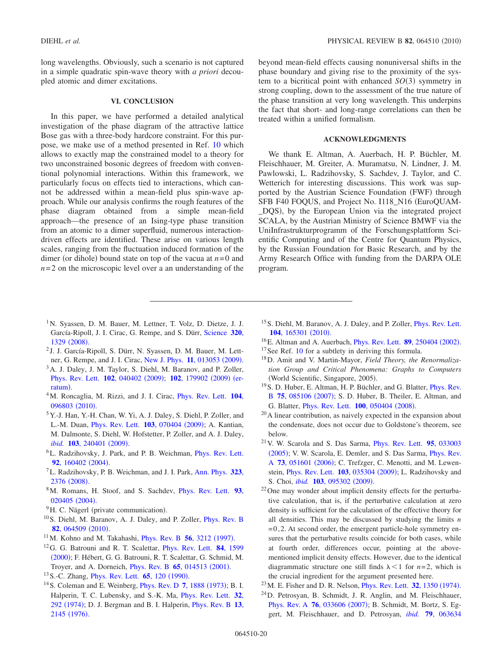long wavelengths. Obviously, such a scenario is not captured in a simple quadratic spin-wave theory with *a priori* decoupled atomic and dimer excitations.

# **VI. CONCLUSION**

<span id="page-19-14"></span>In this paper, we have performed a detailed analytical investigation of the phase diagram of the attractive lattice Bose gas with a three-body hardcore constraint. For this purpose, we make use of a method presented in Ref. [10](#page-19-9) which allows to exactly map the constrained model to a theory for two unconstrained bosonic degrees of freedom with conventional polynomial interactions. Within this framework, we particularly focus on effects tied to interactions, which cannot be addressed within a mean-field plus spin-wave approach. While our analysis confirms the rough features of the phase diagram obtained from a simple mean-field approach—the presence of an Ising-type phase transition from an atomic to a dimer superfluid, numerous interactiondriven effects are identified. These arise on various length scales, ranging from the fluctuation induced formation of the dimer (or dihole) bound state on top of the vacua at  $n=0$  and  $n=2$  on the microscopic level over a an understanding of the beyond mean-field effects causing nonuniversal shifts in the phase boundary and giving rise to the proximity of the system to a bicritical point with enhanced  $SO(3)$  symmetry in strong coupling, down to the assessment of the true nature of the phase transition at very long wavelength. This underpins the fact that short- and long-range correlations can then be treated within a unified formalism.

## **ACKNOWLEDGMENTS**

We thank E. Altman, A. Auerbach, H. P. Büchler, M. Fleischhauer, M. Greiter, A. Muramatsu, N. Lindner, J. M. Pawlowski, L. Radzihovsky, S. Sachdev, J. Taylor, and C. Wetterich for interesting discussions. This work was supported by the Austrian Science Foundation (FWF) through SFB F40 FOQUS, and Project No. I118 N16 (EuroQUAM-\_DQS-, by the European Union via the integrated project SCALA, by the Austrian Ministry of Science BMWF via the UniInfrastrukturprogramm of the Forschungsplattform Scientific Computing and of the Centre for Quantum Physics, by the Russian Foundation for Basic Research, and by the Army Research Office with funding from the DARPA OLE program.

- <span id="page-19-0"></span><sup>1</sup>N. Syassen, D. M. Bauer, M. Lettner, T. Volz, D. Dietze, J. J. García-Ripoll, J. I. Cirac, G. Rempe, and S. Dürr, [Science](http://dx.doi.org/10.1126/science.1155309) **320**, [1329](http://dx.doi.org/10.1126/science.1155309) (2008).
- <span id="page-19-1"></span><sup>2</sup> J. J. García-Ripoll, S. Dürr, N. Syassen, D. M. Bauer, M. Lett-ner, G. Rempe, and J. I. Cirac, [New J. Phys.](http://dx.doi.org/10.1088/1367-2630/11/1/013053) 11, 013053 (2009).
- <span id="page-19-2"></span>3A. J. Daley, J. M. Taylor, S. Diehl, M. Baranov, and P. Zoller, [Phys. Rev. Lett.](http://dx.doi.org/10.1103/PhysRevLett.102.040402) 102, 040402 (2009); 102, 179902 (2009) (erratum).
- <span id="page-19-3"></span>4M. Roncaglia, M. Rizzi, and J. I. Cirac, [Phys. Rev. Lett.](http://dx.doi.org/10.1103/PhysRevLett.104.096803) **104**, [096803](http://dx.doi.org/10.1103/PhysRevLett.104.096803) (2010).
- <span id="page-19-4"></span>5Y.-J. Han, Y.-H. Chan, W. Yi, A. J. Daley, S. Diehl, P. Zoller, and L.-M. Duan, *[Phys. Rev. Lett.](http://dx.doi.org/10.1103/PhysRevLett.103.070404)* **103**, 070404 (2009); A. Kantian, M. Dalmonte, S. Diehl, W. Hofstetter, P. Zoller, and A. J. Daley, *ibid.* **103**[, 240401](http://dx.doi.org/10.1103/PhysRevLett.103.240401) (2009).
- <span id="page-19-5"></span><sup>6</sup>L. Radzihovsky, J. Park, and P. B. Weichman, *[Phys. Rev. Lett.](http://dx.doi.org/10.1103/PhysRevLett.92.160402)* **92**[, 160402](http://dx.doi.org/10.1103/PhysRevLett.92.160402) (2004).
- <span id="page-19-6"></span>7L. Radzihovsky, P. B. Weichman, and J. I. Park, [Ann. Phys.](http://dx.doi.org/10.1016/j.aop.2008.05.008) **323**, [2376](http://dx.doi.org/10.1016/j.aop.2008.05.008) (2008).
- <span id="page-19-7"></span>8M. Romans, H. Stoof, and S. Sachdev, [Phys. Rev. Lett.](http://dx.doi.org/10.1103/PhysRevLett.93.020405) **93**, [020405](http://dx.doi.org/10.1103/PhysRevLett.93.020405) (2004).
- <span id="page-19-8"></span><sup>9</sup>H. C. Nägerl (private communication).
- <span id="page-19-9"></span>10S. Diehl, M. Baranov, A. J. Daley, and P. Zoller, [Phys. Rev. B](http://dx.doi.org/10.1103/PhysRevB.82.064509) **82**[, 064509](http://dx.doi.org/10.1103/PhysRevB.82.064509) (2010).
- <span id="page-19-10"></span><sup>11</sup>M. Kohno and M. Takahashi, *[Phys. Rev. B](http://dx.doi.org/10.1103/PhysRevB.56.3212)* **56**, 3212 (1997).
- <span id="page-19-11"></span>12G. G. Batrouni and R. T. Scalettar, [Phys. Rev. Lett.](http://dx.doi.org/10.1103/PhysRevLett.84.1599) **84**, 1599 ([2000](http://dx.doi.org/10.1103/PhysRevLett.84.1599)); F. Hébert, G. G. Batrouni, R. T. Scalettar, G. Schmid, M. Troyer, and A. Dorneich, *[Phys. Rev. B](http://dx.doi.org/10.1103/PhysRevB.65.014513)* 65, 014513 (2001).
- <span id="page-19-12"></span><sup>13</sup> S.-C. Zhang, *[Phys. Rev. Lett.](http://dx.doi.org/10.1103/PhysRevLett.65.120)* **65**, 120 (1990).
- <span id="page-19-13"></span><sup>14</sup> S. Coleman and E. Weinberg, *[Phys. Rev. D](http://dx.doi.org/10.1103/PhysRevD.7.1888)* 7, 1888 (1973); B. I. Halperin, T. C. Lubensky, and S.-K. Ma, [Phys. Rev. Lett.](http://dx.doi.org/10.1103/PhysRevLett.32.292) **32**, 292 ([1974](http://dx.doi.org/10.1103/PhysRevLett.32.292)); D. J. Bergman and B. I. Halperin, *[Phys. Rev. B](http://dx.doi.org/10.1103/PhysRevB.13.2145)* 13, [2145](http://dx.doi.org/10.1103/PhysRevB.13.2145) (1976).
- <span id="page-19-15"></span><sup>15</sup>S. Diehl, M. Baranov, A. J. Daley, and P. Zoller, *[Phys. Rev. Lett.](http://dx.doi.org/10.1103/PhysRevLett.104.165301)* **104**[, 165301](http://dx.doi.org/10.1103/PhysRevLett.104.165301) (2010).
- <span id="page-19-16"></span><sup>16</sup>E. Altman and A. Auerbach, *[Phys. Rev. Lett.](http://dx.doi.org/10.1103/PhysRevLett.89.250404)* **89**, 250404 (2002).
- <span id="page-19-17"></span><sup>17</sup>See Ref. [10](#page-19-9) for a subtlety in deriving this formula.
- <span id="page-19-18"></span>18D. Amit and V. Martin-Mayor, *Field Theory, the Renormalization Group and Critical Phenomena: Graphs to Computers* (World Scientific, Singapore, 2005).
- <span id="page-19-19"></span>19S. D. Huber, E. Altman, H. P. Büchler, and G. Blatter, [Phys. Rev.](http://dx.doi.org/10.1103/PhysRevB.75.085106) B 75[, 085106](http://dx.doi.org/10.1103/PhysRevB.75.085106) (2007); S. D. Huber, B. Theiler, E. Altman, and G. Blatter, *[Phys. Rev. Lett.](http://dx.doi.org/10.1103/PhysRevLett.100.050404)* **100**, 050404 (2008).
- <span id="page-19-20"></span><sup>20</sup>A linear contribution, as naively expected in the expansion about the condensate, does not occur due to Goldstone's theorem, see below.
- <span id="page-19-21"></span>21V. W. Scarola and S. Das Sarma, [Phys. Rev. Lett.](http://dx.doi.org/10.1103/PhysRevLett.95.033003) **95**, 033003 ([2005](http://dx.doi.org/10.1103/PhysRevLett.95.033003)); V. W. Scarola, E. Demler, and S. Das Sarma, *[Phys. Rev.](http://dx.doi.org/10.1103/PhysRevA.73.051601)* A 73[, 051601](http://dx.doi.org/10.1103/PhysRevA.73.051601) (2006); C. Trefzger, C. Menotti, and M. Lewenstein, *[Phys. Rev. Lett.](http://dx.doi.org/10.1103/PhysRevLett.103.035304)* 103, 035304 (2009); L. Radzihovsky and S. Choi, *ibid.* **103**[, 095302](http://dx.doi.org/10.1103/PhysRevLett.103.095302) (2009).
- <span id="page-19-22"></span>22One may wonder about implicit density effects for the perturbative calculation, that is, if the perturbative calculation at zero density is sufficient for the calculation of the effective theory for all densities. This may be discussed by studying the limits *n*  $= 0, 2$ . At second order, the emergent particle-hole symmetry ensures that the perturbative results coincide for both cases, while at fourth order, differences occur, pointing at the abovementioned implicit density effects. However, due to the identical diagrammatic structure one still finds  $\lambda < 1$  for  $n = 2$ , which is the crucial ingredient for the argument presented here.
- <span id="page-19-23"></span><sup>23</sup> M. E. Fisher and D. R. Nelson, *[Phys. Rev. Lett.](http://dx.doi.org/10.1103/PhysRevLett.32.1350)* **32**, 1350 (1974).
- <span id="page-19-24"></span>24D. Petrosyan, B. Schmidt, J. R. Anglin, and M. Fleischhauer, [Phys. Rev. A](http://dx.doi.org/10.1103/PhysRevA.76.033606) 76, 033606 (2007); B. Schmidt, M. Bortz, S. Eggert, M. Fleischhauer, and D. Petrosyan, *ibid.* **79**[, 063634](http://dx.doi.org/10.1103/PhysRevA.79.063634)